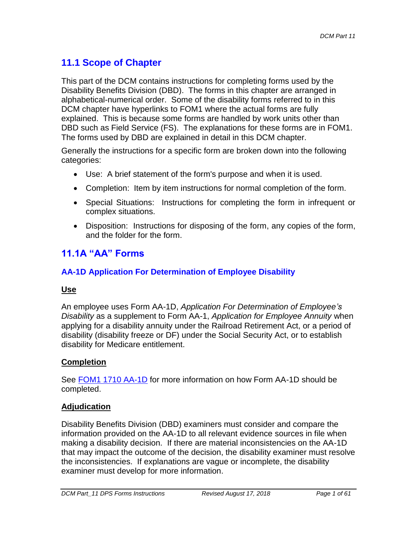# **11.1 Scope of Chapter**

This part of the DCM contains instructions for completing forms used by the Disability Benefits Division (DBD). The forms in this chapter are arranged in alphabetical-numerical order. Some of the disability forms referred to in this DCM chapter have hyperlinks to FOM1 where the actual forms are fully explained. This is because some forms are handled by work units other than DBD such as Field Service (FS). The explanations for these forms are in FOM1. The forms used by DBD are explained in detail in this DCM chapter.

Generally the instructions for a specific form are broken down into the following categories:

- Use: A brief statement of the form's purpose and when it is used.
- Completion: Item by item instructions for normal completion of the form.
- Special Situations: Instructions for completing the form in infrequent or complex situations.
- Disposition: Instructions for disposing of the form, any copies of the form, and the folder for the form.

# **11.1A "AA" Forms**

# **AA-1D Application For Determination of Employee Disability**

### **Use**

An employee uses Form AA-1D, *Application For Determination of Employee's Disability* as a supplement to Form AA-1, *Application for Employee Annuity* when applying for a disability annuity under the Railroad Retirement Act, or a period of disability (disability freeze or DF) under the Social Security Act, or to establish disability for Medicare entitlement.

# **Completion**

See [FOM1 1710 AA-1D](http://rrbsharepoint/sites/Pub/FOM/Art17/Documents/FOM1_1710.pdf) for more information on how Form AA-1D should be completed.

### **Adjudication**

Disability Benefits Division (DBD) examiners must consider and compare the information provided on the AA-1D to all relevant evidence sources in file when making a disability decision. If there are material inconsistencies on the AA-1D that may impact the outcome of the decision, the disability examiner must resolve the inconsistencies. If explanations are vague or incomplete, the disability examiner must develop for more information.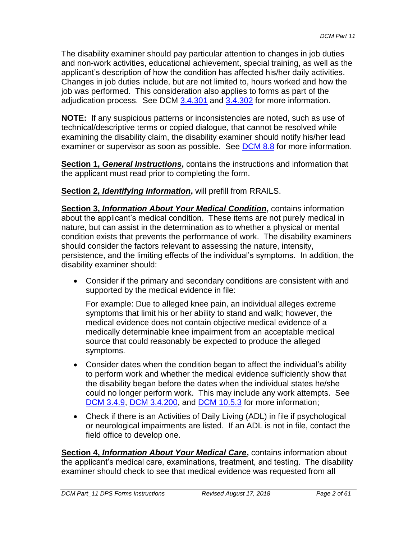The disability examiner should pay particular attention to changes in job duties and non-work activities, educational achievement, special training, as well as the applicant's description of how the condition has affected his/her daily activities. Changes in job duties include, but are not limited to, hours worked and how the job was performed. This consideration also applies to forms as part of the adjudication process. See DCM [3.4.301](http://rrbsharepoint/sites/Pub/DisMan/DCM/Documents/DCM_Part_3.pdf#search=3.4.301) and [3.4.302](http://rrbsharepoint/sites/Pub/DisMan/DCM/Documents/DCM_Part_3.pdf#search=3.4.302) for more information.

**NOTE:** If any suspicious patterns or inconsistencies are noted, such as use of technical/descriptive terms or copied dialogue, that cannot be resolved while examining the disability claim, the disability examiner should notify his/her lead examiner or supervisor as soon as possible. See [DCM 8.8](http://rrbsharepoint/sites/Pub/DisMan/DCM/Documents/DCM_Part_8.pdf#search=8.8) for more information.

**Section 1,** *General Instructions***,** contains the instructions and information that the applicant must read prior to completing the form.

### **Section 2,** *Identifying Information***,** will prefill from RRAILS.

**Section 3,** *Information About Your Medical Condition***,** contains information about the applicant's medical condition. These items are not purely medical in nature, but can assist in the determination as to whether a physical or mental condition exists that prevents the performance of work. The disability examiners should consider the factors relevant to assessing the nature, intensity, persistence, and the limiting effects of the individual's symptoms. In addition, the disability examiner should:

 Consider if the primary and secondary conditions are consistent with and supported by the medical evidence in file:

For example: Due to alleged knee pain, an individual alleges extreme symptoms that limit his or her ability to stand and walk; however, the medical evidence does not contain objective medical evidence of a medically determinable knee impairment from an acceptable medical source that could reasonably be expected to produce the alleged symptoms.

- Consider dates when the condition began to affect the individual's ability to perform work and whether the medical evidence sufficiently show that the disability began before the dates when the individual states he/she could no longer perform work. This may include any work attempts. See [DCM 3.4.9,](http://rrbsharepoint/sites/Pub/DisMan/DCM/Documents/DCM_Part_3.pdf#search=3.4.9) [DCM 3.4.200,](http://rrbsharepoint/sites/Pub/DisMan/DCM/Documents/DCM_Part_3.pdf#search=3.4.200) and [DCM 10.5.3](http://rrbsharepoint/sites/Pub/DisMan/DCM/Documents/DCM_Part_10.pdf#search=10.5.3) for more information;
- Check if there is an Activities of Daily Living (ADL) in file if psychological or neurological impairments are listed. If an ADL is not in file, contact the field office to develop one.

**Section 4,** *Information About Your Medical Care***,** contains information about the applicant's medical care, examinations, treatment, and testing. The disability examiner should check to see that medical evidence was requested from all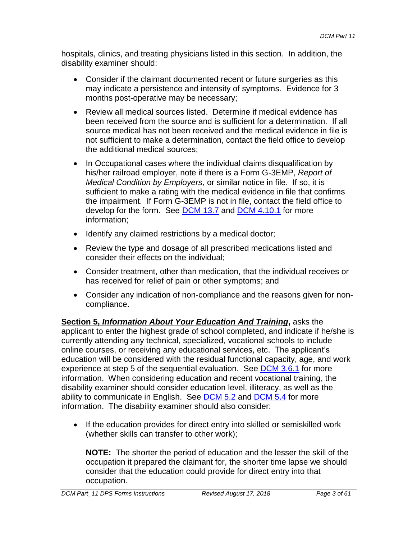hospitals, clinics, and treating physicians listed in this section. In addition, the disability examiner should:

- Consider if the claimant documented recent or future surgeries as this may indicate a persistence and intensity of symptoms. Evidence for 3 months post-operative may be necessary;
- Review all medical sources listed. Determine if medical evidence has been received from the source and is sufficient for a determination. If all source medical has not been received and the medical evidence in file is not sufficient to make a determination, contact the field office to develop the additional medical sources;
- In Occupational cases where the individual claims disqualification by his/her railroad employer, note if there is a Form G-3EMP, *Report of Medical Condition by Employers,* or similar notice in file. If so, it is sufficient to make a rating with the medical evidence in file that confirms the impairment. If Form G-3EMP is not in file, contact the field office to develop for the form. See [DCM 13.7](http://rrbsharepoint/sites/Pub/DisMan/DCM/Documents/DCM_Part_13.pdf#search=13.7) and [DCM 4.10.1](http://rrbsharepoint/sites/Pub/DisMan/DCM/Documents/DCM_Part_4.pdf#search=4.10.1) for more information;
- Identify any claimed restrictions by a medical doctor;
- Review the type and dosage of all prescribed medications listed and consider their effects on the individual;
- Consider treatment, other than medication, that the individual receives or has received for relief of pain or other symptoms; and
- Consider any indication of non-compliance and the reasons given for noncompliance.

**Section 5,** *Information About Your Education And Training***,** asks the applicant to enter the highest grade of school completed, and indicate if he/she is currently attending any technical, specialized, vocational schools to include online courses, or receiving any educational services, etc. The applicant's education will be considered with the residual functional capacity, age, and work experience at step 5 of the sequential evaluation. See [DCM 3.6.1](http://rrbsharepoint/sites/Pub/DisMan/DCM/Documents/DCM_Part_3.pdf#search=3.6.1) for more information. When considering education and recent vocational training, the disability examiner should consider education level, illiteracy, as well as the ability to communicate in English. See [DCM 5.2](http://rrbsharepoint/sites/Pub/DisMan/DCM/Documents/DCM_Part_5.pdf#search=5.2) and [DCM 5.4](http://rrbsharepoint/sites/Pub/DisMan/DCM/Documents/DCM_Part_5.pdf#search=5.4) for more information. The disability examiner should also consider:

• If the education provides for direct entry into skilled or semiskilled work (whether skills can transfer to other work);

**NOTE:** The shorter the period of education and the lesser the skill of the occupation it prepared the claimant for, the shorter time lapse we should consider that the education could provide for direct entry into that occupation.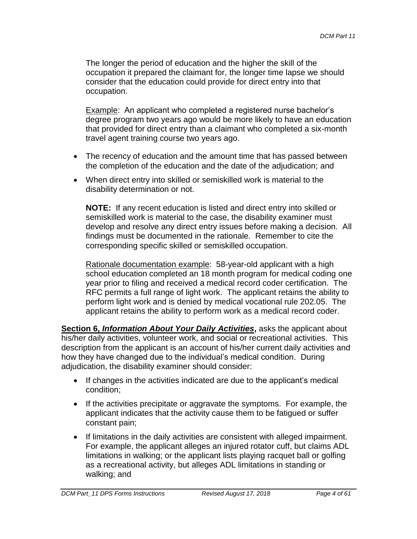The longer the period of education and the higher the skill of the occupation it prepared the claimant for, the longer time lapse we should consider that the education could provide for direct entry into that occupation.

Example: An applicant who completed a registered nurse bachelor's degree program two years ago would be more likely to have an education that provided for direct entry than a claimant who completed a six-month travel agent training course two years ago.

- The recency of education and the amount time that has passed between the completion of the education and the date of the adjudication; and
- When direct entry into skilled or semiskilled work is material to the disability determination or not.

**NOTE:** If any recent education is listed and direct entry into skilled or semiskilled work is material to the case, the disability examiner must develop and resolve any direct entry issues before making a decision. All findings must be documented in the rationale. Remember to cite the corresponding specific skilled or semiskilled occupation.

Rationale documentation example: 58-year-old applicant with a high school education completed an 18 month program for medical coding one year prior to filing and received a medical record coder certification. The RFC permits a full range of light work. The applicant retains the ability to perform light work and is denied by medical vocational rule 202.05. The applicant retains the ability to perform work as a medical record coder.

**Section 6,** *Information About Your Daily Activities***,** asks the applicant about his/her daily activities, volunteer work, and social or recreational activities. This description from the applicant is an account of his/her current daily activities and how they have changed due to the individual's medical condition. During adjudication, the disability examiner should consider:

- If changes in the activities indicated are due to the applicant's medical condition;
- If the activities precipitate or aggravate the symptoms. For example, the applicant indicates that the activity cause them to be fatigued or suffer constant pain;
- If limitations in the daily activities are consistent with alleged impairment. For example, the applicant alleges an injured rotator cuff, but claims ADL limitations in walking; or the applicant lists playing racquet ball or golfing as a recreational activity, but alleges ADL limitations in standing or walking; and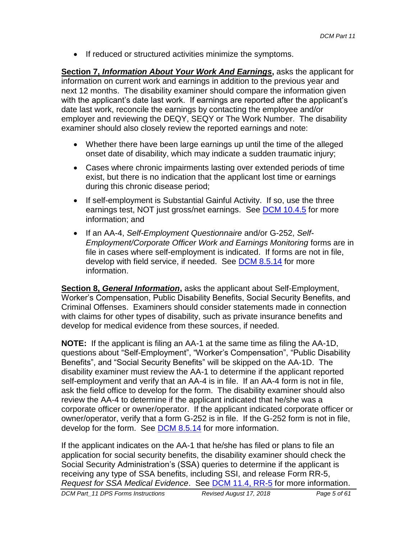• If reduced or structured activities minimize the symptoms.

**Section 7,** *Information About Your Work And Earnings***,** asks the applicant for information on current work and earnings in addition to the previous year and next 12 months. The disability examiner should compare the information given with the applicant's date last work. If earnings are reported after the applicant's date last work, reconcile the earnings by contacting the employee and/or employer and reviewing the DEQY, SEQY or The Work Number. The disability examiner should also closely review the reported earnings and note:

- Whether there have been large earnings up until the time of the alleged onset date of disability, which may indicate a sudden traumatic injury;
- Cases where chronic impairments lasting over extended periods of time exist, but there is no indication that the applicant lost time or earnings during this chronic disease period;
- If self-employment is Substantial Gainful Activity. If so, use the three earnings test, NOT just gross/net earnings. See [DCM 10.4.5](http://rrbsharepoint/sites/Pub/DisMan/DCM/Documents/DCM_Part_10.pdf#search=10.4.5) for more information; and
- If an AA-4, *Self-Employment Questionnaire* and/or G-252, *Self-Employment/Corporate Officer Work and Earnings Monitoring* forms are in file in cases where self-employment is indicated. If forms are not in file, develop with field service, if needed. See [DCM 8.5.14](http://rrbsharepoint/sites/Pub/DisMan/DCM/Documents/DCM_Part_8.pdf#search=8.5.14) for more information.

**Section 8,** *General Information***,** asks the applicant about Self-Employment, Worker's Compensation, Public Disability Benefits, Social Security Benefits, and Criminal Offenses. Examiners should consider statements made in connection with claims for other types of disability, such as private insurance benefits and develop for medical evidence from these sources, if needed.

**NOTE:** If the applicant is filing an AA-1 at the same time as filing the AA-1D, questions about "Self-Employment", "Worker's Compensation", "Public Disability Benefits", and "Social Security Benefits" will be skipped on the AA-1D. The disability examiner must review the AA-1 to determine if the applicant reported self-employment and verify that an AA-4 is in file. If an AA-4 form is not in file, ask the field office to develop for the form. The disability examiner should also review the AA-4 to determine if the applicant indicated that he/she was a corporate officer or owner/operator. If the applicant indicated corporate officer or owner/operator, verify that a form G-252 is in file. If the G-252 form is not in file, develop for the form. See **DCM 8.5.14** for more information.

If the applicant indicates on the AA-1 that he/she has filed or plans to file an application for social security benefits, the disability examiner should check the Social Security Administration's (SSA) queries to determine if the applicant is receiving any type of SSA benefits, including SSI, and release Form RR-5, *Request for SSA Medical Evidence*. See [DCM 11.4, RR-5](http://rrbsharepoint/sites/Pub/DisMan/DCM/Documents/DCM_Part_11.pdf) for more information.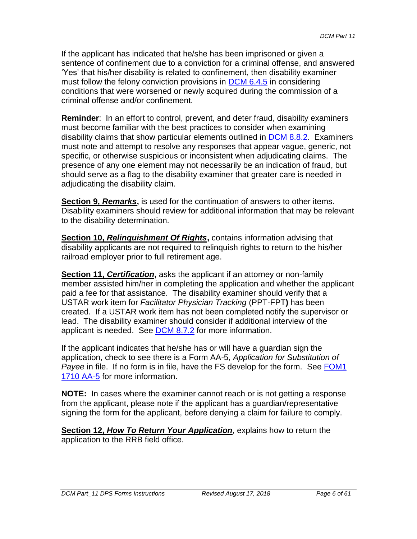If the applicant has indicated that he/she has been imprisoned or given a sentence of confinement due to a conviction for a criminal offense, and answered 'Yes' that his/her disability is related to confinement, then disability examiner must follow the felony conviction provisions in [DCM 6.4.5](http://rrbsharepoint/sites/Pub/DisMan/DCM/Documents/DCM_Part_6.pdf#search=6.4.5) in considering conditions that were worsened or newly acquired during the commission of a criminal offense and/or confinement.

**Reminder**: In an effort to control, prevent, and deter fraud, disability examiners must become familiar with the best practices to consider when examining disability claims that show particular elements outlined in [DCM 8.8.2.](http://rrbsharepoint/sites/Pub/DisMan/DCM/Documents/DCM_Part_8.pdf#search=8.8.2) Examiners must note and attempt to resolve any responses that appear vague, generic, not specific, or otherwise suspicious or inconsistent when adjudicating claims. The presence of any one element may not necessarily be an indication of fraud, but should serve as a flag to the disability examiner that greater care is needed in adjudicating the disability claim.

**Section 9,** *Remarks***,** is used for the continuation of answers to other items. Disability examiners should review for additional information that may be relevant to the disability determination.

**Section 10,** *Relinquishment Of Rights***,** contains information advising that disability applicants are not required to relinquish rights to return to the his/her railroad employer prior to full retirement age.

**Section 11,** *Certification***,** asks the applicant if an attorney or non-family member assisted him/her in completing the application and whether the applicant paid a fee for that assistance. The disability examiner should verify that a USTAR work item for *Facilitator Physician Tracking* (PPT-FPT**)** has been created. If a USTAR work item has not been completed notify the supervisor or lead. The disability examiner should consider if additional interview of the applicant is needed. See [DCM 8.7.2](http://rrbsharepoint/sites/Pub/DisMan/DCM/Documents/DCM_Part_8.pdf#search=8.7.2) for more information.

If the applicant indicates that he/she has or will have a guardian sign the application, check to see there is a Form AA-5, *Application for Substitution of Payee* in file. If no form is in file, have the FS develop for the form. See [FOM1](http://rrbsharepoint/sites/Pub/FOM/Art17/Documents/FOM1_1710.pdf)  [1710 AA-5](http://rrbsharepoint/sites/Pub/FOM/Art17/Documents/FOM1_1710.pdf) for more information.

**NOTE:** In cases where the examiner cannot reach or is not getting a response from the applicant, please note if the applicant has a guardian/representative signing the form for the applicant, before denying a claim for failure to comply.

**Section 12,** *How To Return Your Application*, explains how to return the application to the RRB field office.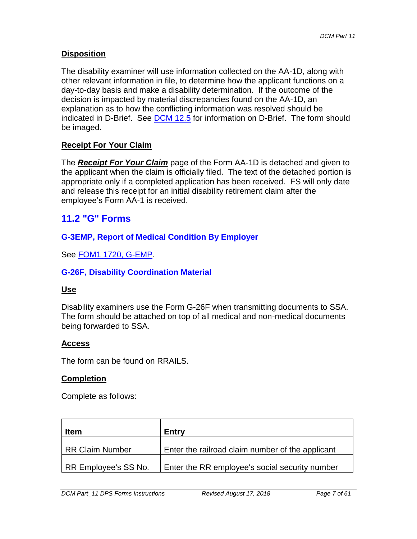#### **Disposition**

The disability examiner will use information collected on the AA-1D, along with other relevant information in file, to determine how the applicant functions on a day-to-day basis and make a disability determination. If the outcome of the decision is impacted by material discrepancies found on the AA-1D, an explanation as to how the conflicting information was resolved should be indicated in D-Brief. See **DCM 12.5** for information on D-Brief. The form should be imaged.

### **Receipt For Your Claim**

The *Receipt For Your Claim* page of the Form AA-1D is detached and given to the applicant when the claim is officially filed. The text of the detached portion is appropriate only if a completed application has been received. FS will only date and release this receipt for an initial disability retirement claim after the employee's Form AA-1 is received.

# **11.2 "G" Forms**

### **G-3EMP, Report of Medical Condition By Employer**

See FOM1 1720, G-EMP.

### **G-26F, Disability Coordination Material**

#### **Use**

Disability examiners use the Form G-26F when transmitting documents to SSA. The form should be attached on top of all medical and non-medical documents being forwarded to SSA.

#### **Access**

The form can be found on RRAILS.

#### **Completion**

Complete as follows:

| <b>Item</b>          | <b>Entry</b>                                     |  |
|----------------------|--------------------------------------------------|--|
| RR Claim Number      | Enter the railroad claim number of the applicant |  |
| RR Employee's SS No. | Enter the RR employee's social security number   |  |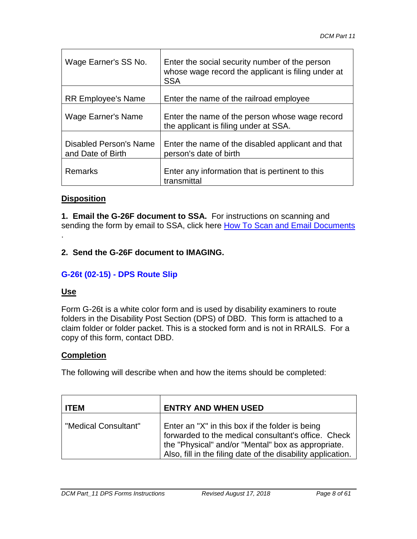| Wage Earner's SS No.                               | Enter the social security number of the person<br>whose wage record the applicant is filing under at<br><b>SSA</b> |
|----------------------------------------------------|--------------------------------------------------------------------------------------------------------------------|
| <b>RR Employee's Name</b>                          | Enter the name of the railroad employee                                                                            |
| <b>Wage Earner's Name</b>                          | Enter the name of the person whose wage record<br>the applicant is filing under at SSA.                            |
| <b>Disabled Person's Name</b><br>and Date of Birth | Enter the name of the disabled applicant and that<br>person's date of birth                                        |
| <b>Remarks</b>                                     | Enter any information that is pertinent to this<br>transmittal                                                     |

#### **Disposition**

**1. Email the G-26F document to SSA.** For instructions on scanning and sending the form by email to SSA, click here How To Scan and Email Documents .

## **2. Send the G-26F document to IMAGING.**

### **G-26t (02-15) - DPS Route Slip**

### **Use**

Form G-26t is a white color form and is used by disability examiners to route folders in the Disability Post Section (DPS) of DBD. This form is attached to a claim folder or folder packet. This is a stocked form and is not in RRAILS. For a copy of this form, contact DBD.

### **Completion**

The following will describe when and how the items should be completed:

| <b>ITEM</b>          | <b>ENTRY AND WHEN USED</b>                                                                                                                                                                                                   |  |
|----------------------|------------------------------------------------------------------------------------------------------------------------------------------------------------------------------------------------------------------------------|--|
| "Medical Consultant" | Enter an "X" in this box if the folder is being<br>forwarded to the medical consultant's office. Check<br>the "Physical" and/or "Mental" box as appropriate.<br>Also, fill in the filing date of the disability application. |  |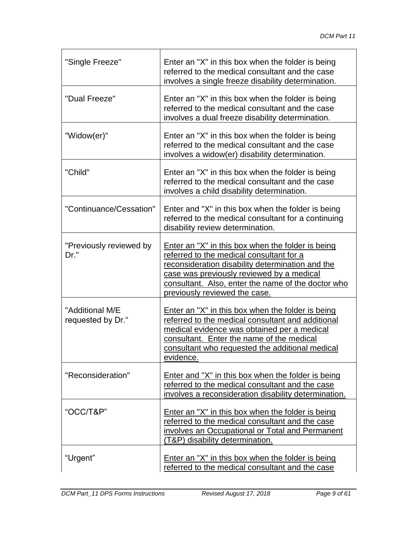÷,

| "Single Freeze"                      | Enter an "X" in this box when the folder is being<br>referred to the medical consultant and the case<br>involves a single freeze disability determination.                                                                                                                            |  |
|--------------------------------------|---------------------------------------------------------------------------------------------------------------------------------------------------------------------------------------------------------------------------------------------------------------------------------------|--|
| "Dual Freeze"                        | Enter an "X" in this box when the folder is being<br>referred to the medical consultant and the case<br>involves a dual freeze disability determination.                                                                                                                              |  |
| "Widow(er)"                          | Enter an "X" in this box when the folder is being<br>referred to the medical consultant and the case<br>involves a widow(er) disability determination.                                                                                                                                |  |
| "Child"                              | Enter an "X" in this box when the folder is being<br>referred to the medical consultant and the case<br>involves a child disability determination.                                                                                                                                    |  |
| "Continuance/Cessation"              | Enter and "X" in this box when the folder is being<br>referred to the medical consultant for a continuing<br>disability review determination.                                                                                                                                         |  |
| "Previously reviewed by<br>Dr."      | Enter an "X" in this box when the folder is being<br>referred to the medical consultant for a<br>reconsideration disability determination and the<br>case was previously reviewed by a medical<br>consultant. Also, enter the name of the doctor who<br>previously reviewed the case. |  |
| "Additional M/E<br>requested by Dr." | Enter an "X" in this box when the folder is being<br>referred to the medical consultant and additional<br>medical evidence was obtained per a medical<br>consultant. Enter the name of the medical<br>consultant who requested the additional medical<br><u>evidence.</u>             |  |
| "Reconsideration"                    | Enter and "X" in this box when the folder is being<br>referred to the medical consultant and the case<br>involves a reconsideration disability determination.                                                                                                                         |  |
| "OCC/T&P"                            | Enter an "X" in this box when the folder is being<br>referred to the medical consultant and the case<br>involves an Occupational or Total and Permanent<br>(T&P) disability determination.                                                                                            |  |
| "Urgent"                             | Enter an "X" in this box when the folder is being<br>referred to the medical consultant and the case                                                                                                                                                                                  |  |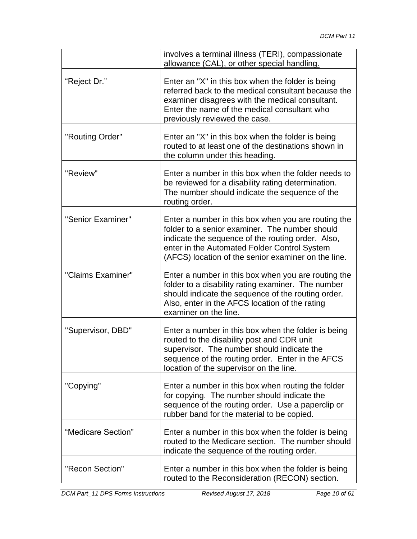|                    | involves a terminal illness (TERI), compassionate<br>allowance (CAL), or other special handling.                                                                                                                                                                  |
|--------------------|-------------------------------------------------------------------------------------------------------------------------------------------------------------------------------------------------------------------------------------------------------------------|
| "Reject Dr."       | Enter an "X" in this box when the folder is being<br>referred back to the medical consultant because the<br>examiner disagrees with the medical consultant.<br>Enter the name of the medical consultant who<br>previously reviewed the case.                      |
| "Routing Order"    | Enter an "X" in this box when the folder is being<br>routed to at least one of the destinations shown in<br>the column under this heading.                                                                                                                        |
| "Review"           | Enter a number in this box when the folder needs to<br>be reviewed for a disability rating determination.<br>The number should indicate the sequence of the<br>routing order.                                                                                     |
| "Senior Examiner"  | Enter a number in this box when you are routing the<br>folder to a senior examiner. The number should<br>indicate the sequence of the routing order. Also,<br>enter in the Automated Folder Control System<br>(AFCS) location of the senior examiner on the line. |
| "Claims Examiner"  | Enter a number in this box when you are routing the<br>folder to a disability rating examiner. The number<br>should indicate the sequence of the routing order.<br>Also, enter in the AFCS location of the rating<br>examiner on the line.                        |
| "Supervisor, DBD"  | Enter a number in this box when the folder is being<br>routed to the disability post and CDR unit<br>supervisor. The number should indicate the<br>sequence of the routing order. Enter in the AFCS<br>location of the supervisor on the line.                    |
| "Copying"          | Enter a number in this box when routing the folder<br>for copying. The number should indicate the<br>sequence of the routing order. Use a paperclip or<br>rubber band for the material to be copied.                                                              |
| "Medicare Section" | Enter a number in this box when the folder is being<br>routed to the Medicare section. The number should<br>indicate the sequence of the routing order.                                                                                                           |
| "Recon Section"    | Enter a number in this box when the folder is being<br>routed to the Reconsideration (RECON) section.                                                                                                                                                             |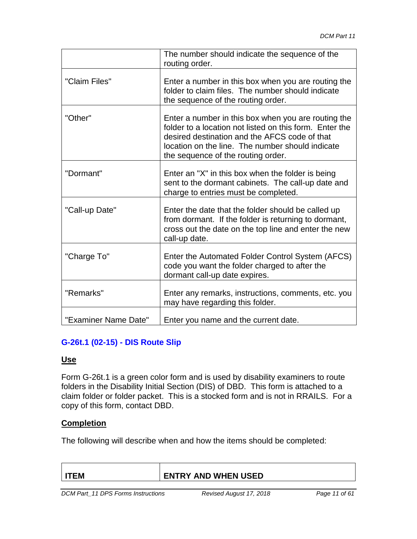|                      | The number should indicate the sequence of the<br>routing order.                                                                                                                                                                                          |
|----------------------|-----------------------------------------------------------------------------------------------------------------------------------------------------------------------------------------------------------------------------------------------------------|
| "Claim Files"        | Enter a number in this box when you are routing the<br>folder to claim files. The number should indicate<br>the sequence of the routing order.                                                                                                            |
| "Other"              | Enter a number in this box when you are routing the<br>folder to a location not listed on this form. Enter the<br>desired destination and the AFCS code of that<br>location on the line. The number should indicate<br>the sequence of the routing order. |
| "Dormant"            | Enter an "X" in this box when the folder is being<br>sent to the dormant cabinets. The call-up date and<br>charge to entries must be completed.                                                                                                           |
| "Call-up Date"       | Enter the date that the folder should be called up<br>from dormant. If the folder is returning to dormant,<br>cross out the date on the top line and enter the new<br>call-up date.                                                                       |
| "Charge To"          | Enter the Automated Folder Control System (AFCS)<br>code you want the folder charged to after the<br>dormant call-up date expires.                                                                                                                        |
| "Remarks"            | Enter any remarks, instructions, comments, etc. you<br>may have regarding this folder.                                                                                                                                                                    |
| "Examiner Name Date" | Enter you name and the current date.                                                                                                                                                                                                                      |

# **G-26t.1 (02-15) - DIS Route Slip**

### **Use**

Form G-26t.1 is a green color form and is used by disability examiners to route folders in the Disability Initial Section (DIS) of DBD. This form is attached to a claim folder or folder packet. This is a stocked form and is not in RRAILS. For a copy of this form, contact DBD.

### **Completion**

The following will describe when and how the items should be completed:

| <b>ENTRY AND WHEN USED</b> |
|----------------------------|
|                            |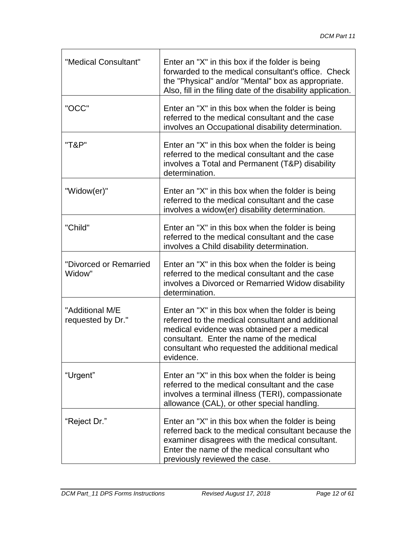| "Medical Consultant"                 | Enter an "X" in this box if the folder is being<br>forwarded to the medical consultant's office. Check<br>the "Physical" and/or "Mental" box as appropriate.<br>Also, fill in the filing date of the disability application.                                       |
|--------------------------------------|--------------------------------------------------------------------------------------------------------------------------------------------------------------------------------------------------------------------------------------------------------------------|
| "OCC"                                | Enter an "X" in this box when the folder is being<br>referred to the medical consultant and the case<br>involves an Occupational disability determination.                                                                                                         |
| "T&P"                                | Enter an "X" in this box when the folder is being<br>referred to the medical consultant and the case<br>involves a Total and Permanent (T&P) disability<br>determination.                                                                                          |
| "Widow(er)"                          | Enter an "X" in this box when the folder is being<br>referred to the medical consultant and the case<br>involves a widow(er) disability determination.                                                                                                             |
| "Child"                              | Enter an "X" in this box when the folder is being<br>referred to the medical consultant and the case<br>involves a Child disability determination.                                                                                                                 |
| "Divorced or Remarried<br>Widow"     | Enter an "X" in this box when the folder is being<br>referred to the medical consultant and the case<br>involves a Divorced or Remarried Widow disability<br>determination.                                                                                        |
| "Additional M/E<br>requested by Dr." | Enter an "X" in this box when the folder is being<br>referred to the medical consultant and additional<br>medical evidence was obtained per a medical<br>consultant. Enter the name of the medical<br>consultant who requested the additional medical<br>evidence. |
| "Urgent"                             | Enter an "X" in this box when the folder is being<br>referred to the medical consultant and the case<br>involves a terminal illness (TERI), compassionate<br>allowance (CAL), or other special handling.                                                           |
| "Reject Dr."                         | Enter an "X" in this box when the folder is being<br>referred back to the medical consultant because the<br>examiner disagrees with the medical consultant.<br>Enter the name of the medical consultant who<br>previously reviewed the case.                       |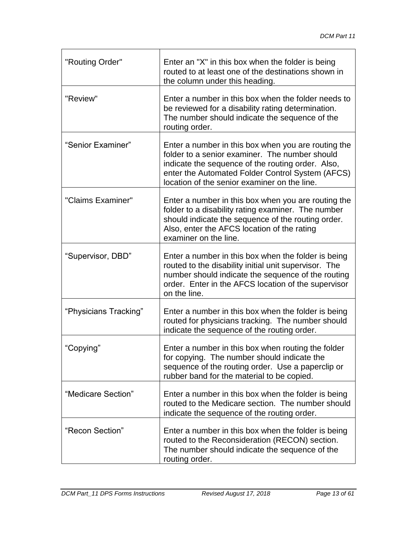| "Routing Order"       | Enter an "X" in this box when the folder is being<br>routed to at least one of the destinations shown in<br>the column under this heading.                                                                                                                     |
|-----------------------|----------------------------------------------------------------------------------------------------------------------------------------------------------------------------------------------------------------------------------------------------------------|
| "Review"              | Enter a number in this box when the folder needs to<br>be reviewed for a disability rating determination.<br>The number should indicate the sequence of the<br>routing order.                                                                                  |
| "Senior Examiner"     | Enter a number in this box when you are routing the<br>folder to a senior examiner. The number should<br>indicate the sequence of the routing order. Also,<br>enter the Automated Folder Control System (AFCS)<br>location of the senior examiner on the line. |
| "Claims Examiner"     | Enter a number in this box when you are routing the<br>folder to a disability rating examiner. The number<br>should indicate the sequence of the routing order.<br>Also, enter the AFCS location of the rating<br>examiner on the line.                        |
| "Supervisor, DBD"     | Enter a number in this box when the folder is being<br>routed to the disability initial unit supervisor. The<br>number should indicate the sequence of the routing<br>order. Enter in the AFCS location of the supervisor<br>on the line.                      |
| "Physicians Tracking" | Enter a number in this box when the folder is being<br>routed for physicians tracking. The number should<br>indicate the sequence of the routing order.                                                                                                        |
| "Copying"             | Enter a number in this box when routing the folder<br>for copying. The number should indicate the<br>sequence of the routing order. Use a paperclip or<br>rubber band for the material to be copied.                                                           |
| "Medicare Section"    | Enter a number in this box when the folder is being<br>routed to the Medicare section. The number should<br>indicate the sequence of the routing order.                                                                                                        |
| "Recon Section"       | Enter a number in this box when the folder is being<br>routed to the Reconsideration (RECON) section.<br>The number should indicate the sequence of the<br>routing order.                                                                                      |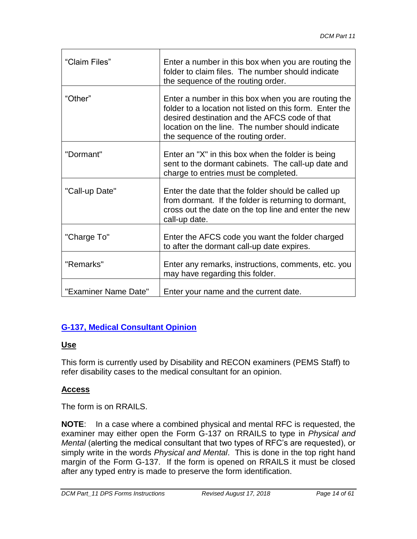| "Claim Files"        | Enter a number in this box when you are routing the<br>folder to claim files. The number should indicate<br>the sequence of the routing order.                                                                                                            |  |
|----------------------|-----------------------------------------------------------------------------------------------------------------------------------------------------------------------------------------------------------------------------------------------------------|--|
| "Other"              | Enter a number in this box when you are routing the<br>folder to a location not listed on this form. Enter the<br>desired destination and the AFCS code of that<br>location on the line. The number should indicate<br>the sequence of the routing order. |  |
| "Dormant"            | Enter an "X" in this box when the folder is being<br>sent to the dormant cabinets. The call-up date and<br>charge to entries must be completed.                                                                                                           |  |
| "Call-up Date"       | Enter the date that the folder should be called up<br>from dormant. If the folder is returning to dormant,<br>cross out the date on the top line and enter the new<br>call-up date.                                                                       |  |
| "Charge To"          | Enter the AFCS code you want the folder charged<br>to after the dormant call-up date expires.                                                                                                                                                             |  |
| "Remarks"            | Enter any remarks, instructions, comments, etc. you<br>may have regarding this folder.                                                                                                                                                                    |  |
| "Examiner Name Date" | Enter your name and the current date.                                                                                                                                                                                                                     |  |

# **G-137, Medical Consultant Opinion**

### **Use**

This form is currently used by Disability and RECON examiners (PEMS Staff) to refer disability cases to the medical consultant for an opinion.

# **Access**

The form is on RRAILS.

**NOTE**: In a case where a combined physical and mental RFC is requested, the examiner may either open the Form G-137 on RRAILS to type in *Physical and Mental* (alerting the medical consultant that two types of RFC's are requested), or simply write in the words *Physical and Mental*. This is done in the top right hand margin of the Form G-137. If the form is opened on RRAILS it must be closed after any typed entry is made to preserve the form identification.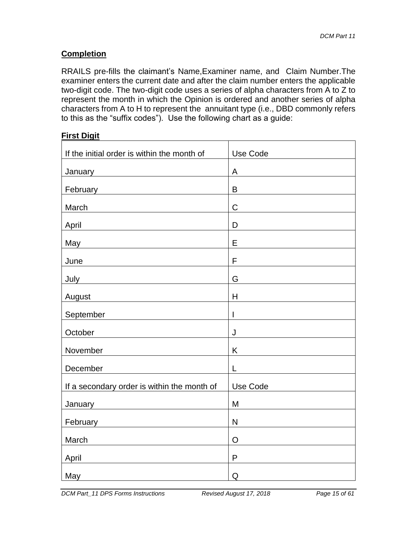#### **Completion**

RRAILS pre-fills the claimant's Name,Examiner name, and Claim Number.The examiner enters the current date and after the claim number enters the applicable two-digit code. The two-digit code uses a series of alpha characters from A to Z to represent the month in which the Opinion is ordered and another series of alpha characters from A to H to represent the annuitant type (i.e., DBD commonly refers to this as the "suffix codes"). Use the following chart as a guide:

| Use Code    |
|-------------|
| A           |
| $\mathsf B$ |
| $\mathsf C$ |
| D           |
| Е           |
| F           |
| G           |
| H           |
| I           |
|             |
| J           |
| Κ           |
| L           |
| Use Code    |
| M           |
| N           |
| $\circ$     |
| P           |
| Q           |
|             |

#### **First Digit**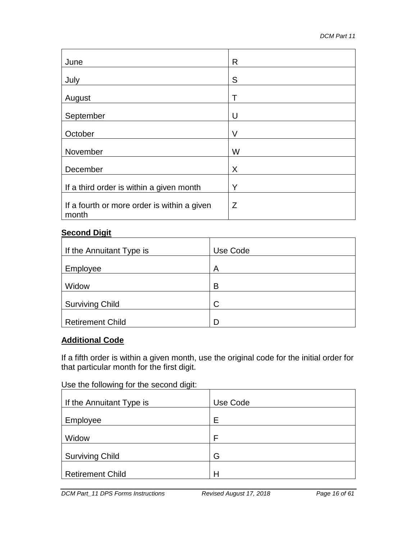| June                                                 | R |
|------------------------------------------------------|---|
| July                                                 | S |
| August                                               | Τ |
| September                                            | U |
| October                                              | V |
| November                                             | W |
| December                                             | X |
| If a third order is within a given month             | Y |
| If a fourth or more order is within a given<br>month | Z |

## **Second Digit**

| Use Code |
|----------|
| A        |
| B        |
| C        |
| D        |
|          |

### **Additional Code**

If a fifth order is within a given month, use the original code for the initial order for that particular month for the first digit.

|  |  | Use the following for the second digit: |  |
|--|--|-----------------------------------------|--|
|  |  |                                         |  |

| If the Annuitant Type is | Use Code |
|--------------------------|----------|
| Employee                 | Е        |
| Widow                    | F        |
| <b>Surviving Child</b>   | G        |
| <b>Retirement Child</b>  | Н        |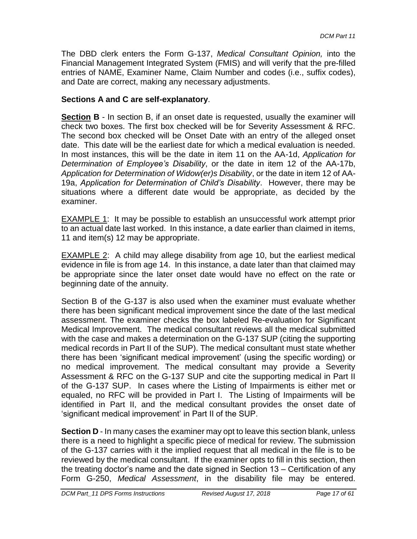The DBD clerk enters the Form G-137, *Medical Consultant Opinion,* into the Financial Management Integrated System (FMIS) and will verify that the pre-filled entries of NAME, Examiner Name, Claim Number and codes (i.e., suffix codes), and Date are correct, making any necessary adjustments.

#### **Sections A and C are self-explanatory**.

**Section B** - In section B, if an onset date is requested, usually the examiner will check two boxes. The first box checked will be for Severity Assessment & RFC. The second box checked will be Onset Date with an entry of the alleged onset date. This date will be the earliest date for which a medical evaluation is needed. In most instances, this will be the date in item 11 on the AA-1d, *Application for Determination of Employee's Disability*, or the date in item 12 of the AA-17b, *Application for Determination of Widow(er)s Disability*, or the date in item 12 of AA-19a, *Application for Determination of Child's Disability*. However, there may be situations where a different date would be appropriate, as decided by the examiner.

EXAMPLE 1: It may be possible to establish an unsuccessful work attempt prior to an actual date last worked. In this instance, a date earlier than claimed in items, 11 and item(s) 12 may be appropriate.

EXAMPLE 2: A child may allege disability from age 10, but the earliest medical evidence in file is from age 14. In this instance, a date later than that claimed may be appropriate since the later onset date would have no effect on the rate or beginning date of the annuity.

Section B of the G-137 is also used when the examiner must evaluate whether there has been significant medical improvement since the date of the last medical assessment. The examiner checks the box labeled Re-evaluation for Significant Medical Improvement. The medical consultant reviews all the medical submitted with the case and makes a determination on the G-137 SUP (citing the supporting medical records in Part II of the SUP). The medical consultant must state whether there has been 'significant medical improvement' (using the specific wording) or no medical improvement. The medical consultant may provide a Severity Assessment & RFC on the G-137 SUP and cite the supporting medical in Part II of the G-137 SUP. In cases where the Listing of Impairments is either met or equaled, no RFC will be provided in Part I. The Listing of Impairments will be identified in Part II, and the medical consultant provides the onset date of 'significant medical improvement' in Part II of the SUP.

**Section D** - In many cases the examiner may opt to leave this section blank, unless there is a need to highlight a specific piece of medical for review. The submission of the G-137 carries with it the implied request that all medical in the file is to be reviewed by the medical consultant. If the examiner opts to fill in this section, then the treating doctor's name and the date signed in Section 13 – Certification of any Form G-250, *Medical Assessment*, in the disability file may be entered.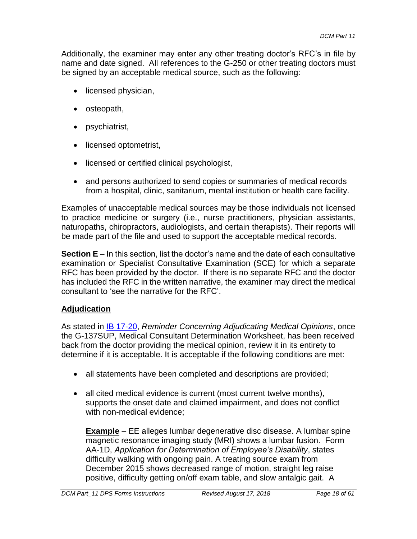Additionally, the examiner may enter any other treating doctor's RFC's in file by name and date signed. All references to the G-250 or other treating doctors must be signed by an acceptable medical source, such as the following:

- licensed physician,
- $\bullet$  osteopath,
- psychiatrist,
- licensed optometrist,
- licensed or certified clinical psychologist,
- and persons authorized to send copies or summaries of medical records from a hospital, clinic, sanitarium, mental institution or health care facility.

Examples of unacceptable medical sources may be those individuals not licensed to practice medicine or surgery (i.e., nurse practitioners, physician assistants, naturopaths, chiropractors, audiologists, and certain therapists). Their reports will be made part of the file and used to support the acceptable medical records.

**Section E** – In this section, list the doctor's name and the date of each consultative examination or Specialist Consultative Examination (SCE) for which a separate RFC has been provided by the doctor. If there is no separate RFC and the doctor has included the RFC in the written narrative, the examiner may direct the medical consultant to 'see the narrative for the RFC'.

### **Adjudication**

As stated in [IB 17-20,](http://rrbsharepoint/sites/Pub/IBIMPT/IB/_layouts/15/WopiFrame.aspx?sourcedoc=/sites/Pub/IBIMPT/IB/Documents/IB%2017-20%20Reminder%20Concerning%20Adjudicating%20Medical%20Opinions.docx&action=default) *Reminder Concerning Adjudicating Medical Opinions*, once the G-137SUP, Medical Consultant Determination Worksheet, has been received back from the doctor providing the medical opinion, review it in its entirety to determine if it is acceptable. It is acceptable if the following conditions are met:

- all statements have been completed and descriptions are provided;
- all cited medical evidence is current (most current twelve months), supports the onset date and claimed impairment, and does not conflict with non-medical evidence;

**Example** – EE alleges lumbar degenerative disc disease. A lumbar spine magnetic resonance imaging study (MRI) shows a lumbar fusion. Form AA-1D, *Application for Determination of Employee's Disability*, states difficulty walking with ongoing pain. A treating source exam from December 2015 shows decreased range of motion, straight leg raise positive, difficulty getting on/off exam table, and slow antalgic gait. A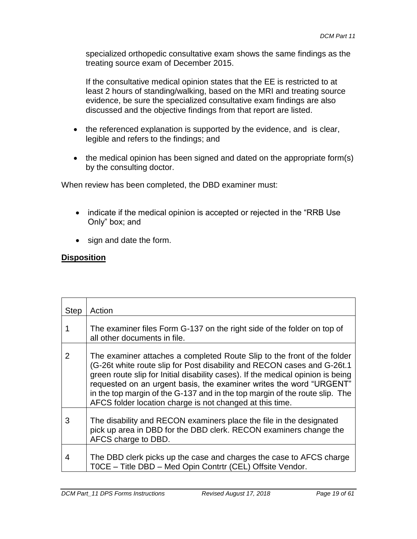specialized orthopedic consultative exam shows the same findings as the treating source exam of December 2015.

If the consultative medical opinion states that the EE is restricted to at least 2 hours of standing/walking, based on the MRI and treating source evidence, be sure the specialized consultative exam findings are also discussed and the objective findings from that report are listed.

- the referenced explanation is supported by the evidence, and is clear, legible and refers to the findings; and
- the medical opinion has been signed and dated on the appropriate form(s) by the consulting doctor.

When review has been completed, the DBD examiner must:

- indicate if the medical opinion is accepted or rejected in the "RRB Use" Only" box; and
- sign and date the form.

### **Disposition**

| <b>Step</b> | Action                                                                                                                                                                                                                                                                                                                                                                                                                                                  |
|-------------|---------------------------------------------------------------------------------------------------------------------------------------------------------------------------------------------------------------------------------------------------------------------------------------------------------------------------------------------------------------------------------------------------------------------------------------------------------|
|             | The examiner files Form G-137 on the right side of the folder on top of<br>all other documents in file.                                                                                                                                                                                                                                                                                                                                                 |
| 2           | The examiner attaches a completed Route Slip to the front of the folder<br>(G-26t white route slip for Post disability and RECON cases and G-26t.1<br>green route slip for Initial disability cases). If the medical opinion is being<br>requested on an urgent basis, the examiner writes the word "URGENT"<br>in the top margin of the G-137 and in the top margin of the route slip. The<br>AFCS folder location charge is not changed at this time. |
| 3           | The disability and RECON examiners place the file in the designated<br>pick up area in DBD for the DBD clerk. RECON examiners change the<br>AFCS charge to DBD.                                                                                                                                                                                                                                                                                         |
| 4           | The DBD clerk picks up the case and charges the case to AFCS charge<br>TOCE - Title DBD - Med Opin Contrtr (CEL) Offsite Vendor.                                                                                                                                                                                                                                                                                                                        |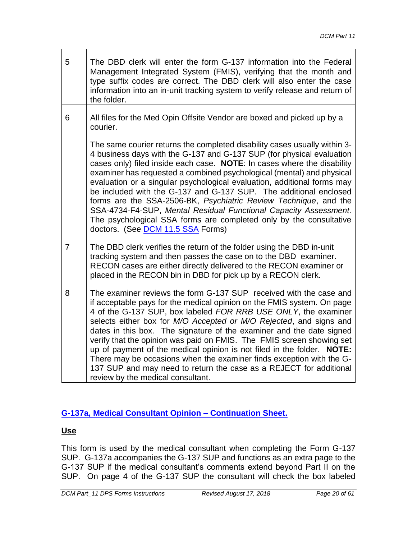| 5              | The DBD clerk will enter the form G-137 information into the Federal<br>Management Integrated System (FMIS), verifying that the month and<br>type suffix codes are correct. The DBD clerk will also enter the case<br>information into an in-unit tracking system to verify release and return of<br>the folder.                                                                                                                                                                                                                                                                                                                                                                                          |
|----------------|-----------------------------------------------------------------------------------------------------------------------------------------------------------------------------------------------------------------------------------------------------------------------------------------------------------------------------------------------------------------------------------------------------------------------------------------------------------------------------------------------------------------------------------------------------------------------------------------------------------------------------------------------------------------------------------------------------------|
| 6              | All files for the Med Opin Offsite Vendor are boxed and picked up by a<br>courier.                                                                                                                                                                                                                                                                                                                                                                                                                                                                                                                                                                                                                        |
|                | The same courier returns the completed disability cases usually within 3-<br>4 business days with the G-137 and G-137 SUP (for physical evaluation<br>cases only) filed inside each case. NOTE: In cases where the disability<br>examiner has requested a combined psychological (mental) and physical<br>evaluation or a singular psychological evaluation, additional forms may<br>be included with the G-137 and G-137 SUP. The additional enclosed<br>forms are the SSA-2506-BK, Psychiatric Review Technique, and the<br>SSA-4734-F4-SUP, Mental Residual Functional Capacity Assessment.<br>The psychological SSA forms are completed only by the consultative<br>doctors. (See DCM 11.5 SSA Forms) |
| $\overline{7}$ | The DBD clerk verifies the return of the folder using the DBD in-unit<br>tracking system and then passes the case on to the DBD examiner.<br>RECON cases are either directly delivered to the RECON examiner or<br>placed in the RECON bin in DBD for pick up by a RECON clerk.                                                                                                                                                                                                                                                                                                                                                                                                                           |
| 8              | The examiner reviews the form G-137 SUP received with the case and<br>if acceptable pays for the medical opinion on the FMIS system. On page<br>4 of the G-137 SUP, box labeled FOR RRB USE ONLY, the examiner<br>selects either box for M/O Accepted or M/O Rejected, and signs and<br>dates in this box. The signature of the examiner and the date signed<br>verify that the opinion was paid on FMIS. The FMIS screen showing set<br>up of payment of the medical opinion is not filed in the folder. NOTE:<br>There may be occasions when the examiner finds exception with the G-<br>137 SUP and may need to return the case as a REJECT for additional<br>review by the medical consultant.        |

# **G-137a, Medical Consultant Opinion – Continuation Sheet.**

### **Use**

This form is used by the medical consultant when completing the Form G-137 SUP. G-137a accompanies the G-137 SUP and functions as an extra page to the G-137 SUP if the medical consultant's comments extend beyond Part II on the SUP. On page 4 of the G-137 SUP the consultant will check the box labeled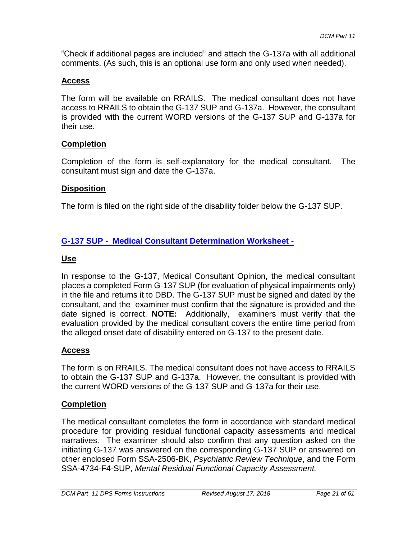"Check if additional pages are included" and attach the G-137a with all additional comments. (As such, this is an optional use form and only used when needed).

## **Access**

The form will be available on RRAILS. The medical consultant does not have access to RRAILS to obtain the G-137 SUP and G-137a. However, the consultant is provided with the current WORD versions of the G-137 SUP and G-137a for their use.

## **Completion**

Completion of the form is self-explanatory for the medical consultant. The consultant must sign and date the G-137a.

## **Disposition**

The form is filed on the right side of the disability folder below the G-137 SUP.

# **G-137 SUP - Medical Consultant Determination Worksheet -**

# **Use**

In response to the G-137, Medical Consultant Opinion, the medical consultant places a completed Form G-137 SUP (for evaluation of physical impairments only) in the file and returns it to DBD. The G-137 SUP must be signed and dated by the consultant, and the examiner must confirm that the signature is provided and the date signed is correct. **NOTE:** Additionally, examiners must verify that the evaluation provided by the medical consultant covers the entire time period from the alleged onset date of disability entered on G-137 to the present date.

# **Access**

The form is on RRAILS. The medical consultant does not have access to RRAILS to obtain the G-137 SUP and G-137a. However, the consultant is provided with the current WORD versions of the G-137 SUP and G-137a for their use.

# **Completion**

The medical consultant completes the form in accordance with standard medical procedure for providing residual functional capacity assessments and medical narratives. The examiner should also confirm that any question asked on the initiating G-137 was answered on the corresponding G-137 SUP or answered on other enclosed Form SSA-2506-BK, *Psychiatric Review Technique*, and the Form SSA-4734-F4-SUP, *Mental Residual Functional Capacity Assessment.*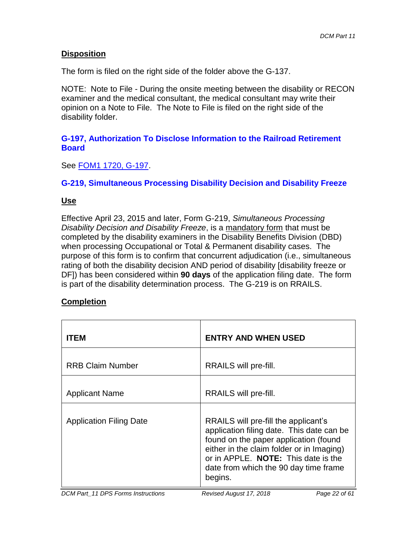### **Disposition**

The form is filed on the right side of the folder above the G-137.

NOTE: Note to File - During the onsite meeting between the disability or RECON examiner and the medical consultant, the medical consultant may write their opinion on a Note to File. The Note to File is filed on the right side of the disability folder.

#### **G-197, Authorization To Disclose Information to the Railroad Retirement Board**

See FOM1 1720, G-197.

#### **G-219, Simultaneous Processing Disability Decision and Disability Freeze**

#### **Use**

Effective April 23, 2015 and later, Form G-219, *Simultaneous Processing Disability Decision and Disability Freeze*, is a mandatory form that must be completed by the disability examiners in the Disability Benefits Division (DBD) when processing Occupational or Total & Permanent disability cases. The purpose of this form is to confirm that concurrent adjudication (i.e., simultaneous rating of both the disability decision AND period of disability [disability freeze or DF]) has been considered within **90 days** of the application filing date. The form is part of the disability determination process. The G-219 is on RRAILS.

# **Completion**

| <b>ITEM</b>                    | <b>ENTRY AND WHEN USED</b>                                                                                                                                                                                                                                                |
|--------------------------------|---------------------------------------------------------------------------------------------------------------------------------------------------------------------------------------------------------------------------------------------------------------------------|
| <b>RRB Claim Number</b>        | RRAILS will pre-fill.                                                                                                                                                                                                                                                     |
| <b>Applicant Name</b>          | RRAILS will pre-fill.                                                                                                                                                                                                                                                     |
| <b>Application Filing Date</b> | RRAILS will pre-fill the applicant's<br>application filing date. This date can be<br>found on the paper application (found<br>either in the claim folder or in Imaging)<br>or in APPLE. <b>NOTE:</b> This date is the<br>date from which the 90 day time frame<br>begins. |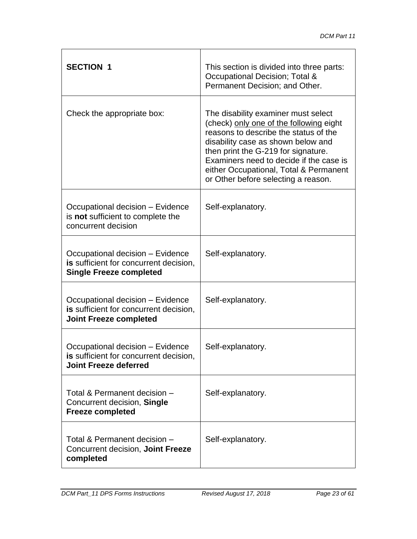| <b>SECTION 1</b>                                                                                             | This section is divided into three parts:<br>Occupational Decision; Total &<br>Permanent Decision; and Other.                                                                                                                                                                                                                    |
|--------------------------------------------------------------------------------------------------------------|----------------------------------------------------------------------------------------------------------------------------------------------------------------------------------------------------------------------------------------------------------------------------------------------------------------------------------|
| Check the appropriate box:                                                                                   | The disability examiner must select<br>(check) only one of the following eight<br>reasons to describe the status of the<br>disability case as shown below and<br>then print the G-219 for signature.<br>Examiners need to decide if the case is<br>either Occupational, Total & Permanent<br>or Other before selecting a reason. |
| Occupational decision - Evidence<br>is not sufficient to complete the<br>concurrent decision                 | Self-explanatory.                                                                                                                                                                                                                                                                                                                |
| Occupational decision - Evidence<br>is sufficient for concurrent decision,<br><b>Single Freeze completed</b> | Self-explanatory.                                                                                                                                                                                                                                                                                                                |
| Occupational decision - Evidence<br>is sufficient for concurrent decision,<br><b>Joint Freeze completed</b>  | Self-explanatory.                                                                                                                                                                                                                                                                                                                |
| Occupational decision - Evidence<br>is sufficient for concurrent decision,<br><b>Joint Freeze deferred</b>   | Self-explanatory.                                                                                                                                                                                                                                                                                                                |
| Total & Permanent decision -<br>Concurrent decision, Single<br><b>Freeze completed</b>                       | Self-explanatory.                                                                                                                                                                                                                                                                                                                |
| Total & Permanent decision -<br>Concurrent decision, Joint Freeze<br>completed                               | Self-explanatory.                                                                                                                                                                                                                                                                                                                |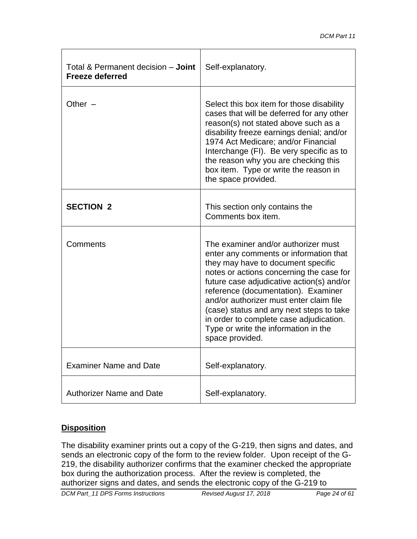| Total & Permanent decision - Joint<br><b>Freeze deferred</b> | Self-explanatory.                                                                                                                                                                                                                                                                                                                                                                                                                                |
|--------------------------------------------------------------|--------------------------------------------------------------------------------------------------------------------------------------------------------------------------------------------------------------------------------------------------------------------------------------------------------------------------------------------------------------------------------------------------------------------------------------------------|
| Other $-$                                                    | Select this box item for those disability<br>cases that will be deferred for any other<br>reason(s) not stated above such as a<br>disability freeze earnings denial; and/or<br>1974 Act Medicare; and/or Financial<br>Interchange (FI). Be very specific as to<br>the reason why you are checking this<br>box item. Type or write the reason in<br>the space provided.                                                                           |
| <b>SECTION 2</b>                                             | This section only contains the<br>Comments box item.                                                                                                                                                                                                                                                                                                                                                                                             |
| Comments                                                     | The examiner and/or authorizer must<br>enter any comments or information that<br>they may have to document specific<br>notes or actions concerning the case for<br>future case adjudicative action(s) and/or<br>reference (documentation). Examiner<br>and/or authorizer must enter claim file<br>(case) status and any next steps to take<br>in order to complete case adjudication.<br>Type or write the information in the<br>space provided. |
| <b>Examiner Name and Date</b>                                | Self-explanatory.                                                                                                                                                                                                                                                                                                                                                                                                                                |
| <b>Authorizer Name and Date</b>                              | Self-explanatory.                                                                                                                                                                                                                                                                                                                                                                                                                                |

# **Disposition**

The disability examiner prints out a copy of the G-219, then signs and dates, and sends an electronic copy of the form to the review folder. Upon receipt of the G-219, the disability authorizer confirms that the examiner checked the appropriate box during the authorization process. After the review is completed, the authorizer signs and dates, and sends the electronic copy of the G-219 to

*DCM Part\_11 DPS Forms Instructions Revised August 17, 2018 Page 24 of 61*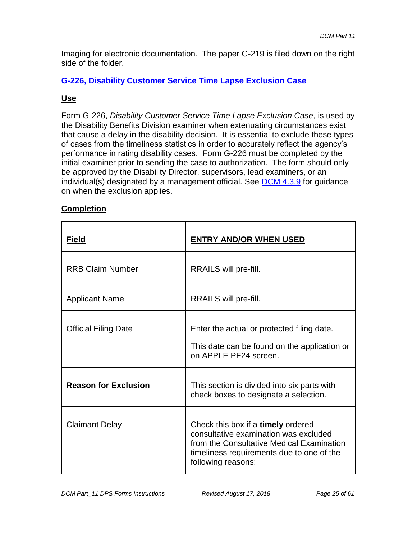Imaging for electronic documentation. The paper G-219 is filed down on the right side of the folder.

# **G-226, Disability Customer Service Time Lapse Exclusion Case**

# **Use**

Form G-226, *Disability Customer Service Time Lapse Exclusion Case*, is used by the Disability Benefits Division examiner when extenuating circumstances exist that cause a delay in the disability decision. It is essential to exclude these types of cases from the timeliness statistics in order to accurately reflect the agency's performance in rating disability cases. Form G-226 must be completed by the initial examiner prior to sending the case to authorization. The form should only be approved by the Disability Director, supervisors, lead examiners, or an individual(s) designated by a management official. See DCM 4.3.9 for guidance on when the exclusion applies.

# **Completion**

| <b>Field</b>                | <b>ENTRY AND/OR WHEN USED</b>                                                                                                                                                                      |
|-----------------------------|----------------------------------------------------------------------------------------------------------------------------------------------------------------------------------------------------|
| <b>RRB Claim Number</b>     | RRAILS will pre-fill.                                                                                                                                                                              |
| <b>Applicant Name</b>       | RRAILS will pre-fill.                                                                                                                                                                              |
| <b>Official Filing Date</b> | Enter the actual or protected filing date.<br>This date can be found on the application or<br>on APPLE PF24 screen.                                                                                |
| <b>Reason for Exclusion</b> | This section is divided into six parts with<br>check boxes to designate a selection.                                                                                                               |
| <b>Claimant Delay</b>       | Check this box if a <b>timely</b> ordered<br>consultative examination was excluded<br>from the Consultative Medical Examination<br>timeliness requirements due to one of the<br>following reasons: |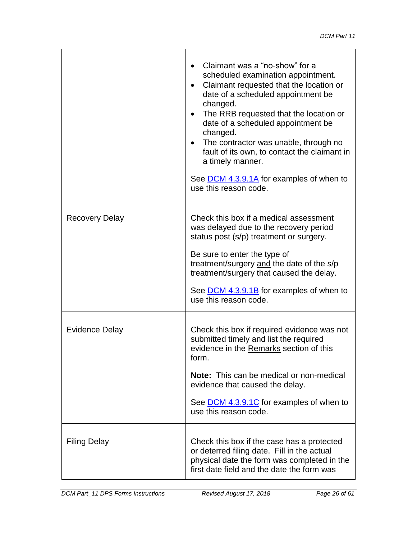|                       | Claimant was a "no-show" for a<br>scheduled examination appointment.<br>Claimant requested that the location or<br>date of a scheduled appointment be<br>changed.<br>The RRB requested that the location or<br>date of a scheduled appointment be<br>changed.<br>The contractor was unable, through no<br>$\bullet$<br>fault of its own, to contact the claimant in<br>a timely manner.<br>See <b>DCM 4.3.9.1A</b> for examples of when to<br>use this reason code. |
|-----------------------|---------------------------------------------------------------------------------------------------------------------------------------------------------------------------------------------------------------------------------------------------------------------------------------------------------------------------------------------------------------------------------------------------------------------------------------------------------------------|
| <b>Recovery Delay</b> | Check this box if a medical assessment<br>was delayed due to the recovery period<br>status post (s/p) treatment or surgery.<br>Be sure to enter the type of<br>treatment/surgery and the date of the s/p<br>treatment/surgery that caused the delay.<br>See <b>DCM 4.3.9.1B</b> for examples of when to<br>use this reason code.                                                                                                                                    |
| <b>Evidence Delay</b> | Check this box if required evidence was not<br>submitted timely and list the required<br>evidence in the Remarks section of this<br>form.<br><b>Note:</b> This can be medical or non-medical<br>evidence that caused the delay.<br>See <b>DCM 4.3.9.1C</b> for examples of when to<br>use this reason code.                                                                                                                                                         |
| <b>Filing Delay</b>   | Check this box if the case has a protected<br>or deterred filing date. Fill in the actual<br>physical date the form was completed in the<br>first date field and the date the form was                                                                                                                                                                                                                                                                              |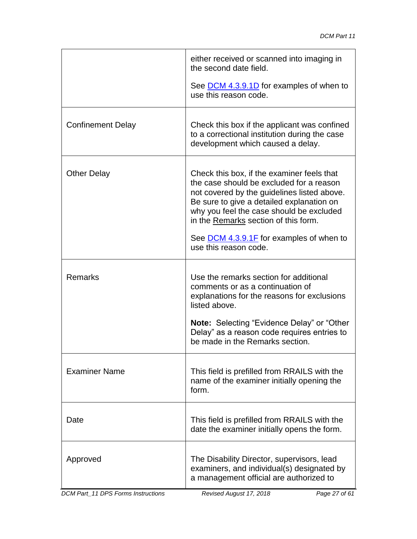|                          | either received or scanned into imaging in<br>the second date field.                                                                                                                                                                                                                                                                               |
|--------------------------|----------------------------------------------------------------------------------------------------------------------------------------------------------------------------------------------------------------------------------------------------------------------------------------------------------------------------------------------------|
|                          | See <b>DCM 4.3.9.1D</b> for examples of when to<br>use this reason code.                                                                                                                                                                                                                                                                           |
| <b>Confinement Delay</b> | Check this box if the applicant was confined<br>to a correctional institution during the case<br>development which caused a delay.                                                                                                                                                                                                                 |
| <b>Other Delay</b>       | Check this box, if the examiner feels that<br>the case should be excluded for a reason<br>not covered by the guidelines listed above.<br>Be sure to give a detailed explanation on<br>why you feel the case should be excluded<br>in the Remarks section of this form.<br>See <b>DCM 4.3.9.1F</b> for examples of when to<br>use this reason code. |
| Remarks                  | Use the remarks section for additional<br>comments or as a continuation of<br>explanations for the reasons for exclusions<br>listed above.<br><b>Note:</b> Selecting "Evidence Delay" or "Other<br>Delay" as a reason code requires entries to<br>be made in the Remarks section.                                                                  |
| <b>Examiner Name</b>     | This field is prefilled from RRAILS with the<br>name of the examiner initially opening the<br>form.                                                                                                                                                                                                                                                |
| Date                     | This field is prefilled from RRAILS with the<br>date the examiner initially opens the form.                                                                                                                                                                                                                                                        |
| Approved                 | The Disability Director, supervisors, lead<br>examiners, and individual(s) designated by<br>a management official are authorized to                                                                                                                                                                                                                |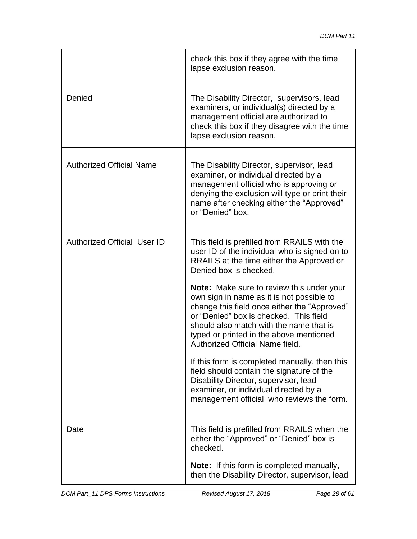|                                    | check this box if they agree with the time<br>lapse exclusion reason.                                                                                                                                                                                                                                                                                                                                                                                                                                                                                                                                                                                                                                                 |
|------------------------------------|-----------------------------------------------------------------------------------------------------------------------------------------------------------------------------------------------------------------------------------------------------------------------------------------------------------------------------------------------------------------------------------------------------------------------------------------------------------------------------------------------------------------------------------------------------------------------------------------------------------------------------------------------------------------------------------------------------------------------|
| Denied                             | The Disability Director, supervisors, lead<br>examiners, or individual(s) directed by a<br>management official are authorized to<br>check this box if they disagree with the time<br>lapse exclusion reason.                                                                                                                                                                                                                                                                                                                                                                                                                                                                                                          |
| <b>Authorized Official Name</b>    | The Disability Director, supervisor, lead<br>examiner, or individual directed by a<br>management official who is approving or<br>denying the exclusion will type or print their<br>name after checking either the "Approved"<br>or "Denied" box.                                                                                                                                                                                                                                                                                                                                                                                                                                                                      |
| <b>Authorized Official User ID</b> | This field is prefilled from RRAILS with the<br>user ID of the individual who is signed on to<br>RRAILS at the time either the Approved or<br>Denied box is checked.<br><b>Note:</b> Make sure to review this under your<br>own sign in name as it is not possible to<br>change this field once either the "Approved"<br>or "Denied" box is checked. This field<br>should also match with the name that is<br>typed or printed in the above mentioned<br>Authorized Official Name field.<br>If this form is completed manually, then this<br>field should contain the signature of the<br>Disability Director, supervisor, lead<br>examiner, or individual directed by a<br>management official who reviews the form. |
| Date                               | This field is prefilled from RRAILS when the<br>either the "Approved" or "Denied" box is<br>checked.<br><b>Note:</b> If this form is completed manually,<br>then the Disability Director, supervisor, lead                                                                                                                                                                                                                                                                                                                                                                                                                                                                                                            |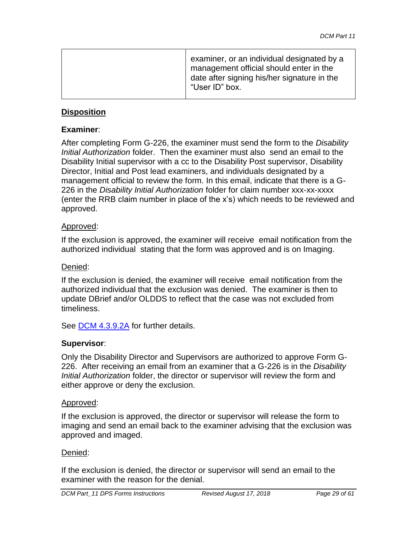#### **Disposition**

#### **Examiner**:

After completing Form G-226, the examiner must send the form to the *Disability Initial Authorization* folder. Then the examiner must also send an email to the Disability Initial supervisor with a cc to the Disability Post supervisor, Disability Director, Initial and Post lead examiners, and individuals designated by a management official to review the form. In this email, indicate that there is a G-226 in the *Disability Initial Authorization* folder for claim number xxx-xx-xxxx (enter the RRB claim number in place of the x's) which needs to be reviewed and approved.

#### Approved:

If the exclusion is approved, the examiner will receive email notification from the authorized individual stating that the form was approved and is on Imaging.

#### Denied:

If the exclusion is denied, the examiner will receive email notification from the authorized individual that the exclusion was denied. The examiner is then to update DBrief and/or OLDDS to reflect that the case was not excluded from timeliness.

See DCM 4.3.9.2A for further details.

#### **Supervisor**:

Only the Disability Director and Supervisors are authorized to approve Form G-226. After receiving an email from an examiner that a G-226 is in the *Disability Initial Authorization* folder, the director or supervisor will review the form and either approve or deny the exclusion.

#### Approved:

If the exclusion is approved, the director or supervisor will release the form to imaging and send an email back to the examiner advising that the exclusion was approved and imaged.

#### Denied:

If the exclusion is denied, the director or supervisor will send an email to the examiner with the reason for the denial.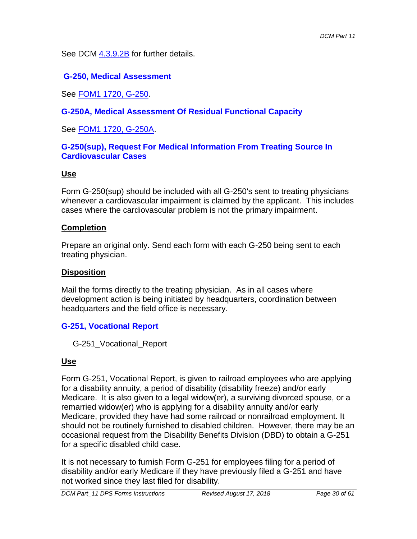See DCM 4.3.9.2B for further details.

## **G-250, Medical Assessment**

See FOM1 1720, G-250.

# **G-250A, Medical Assessment Of Residual Functional Capacity**

See FOM1 1720, G-250A.

#### **G-250(sup), Request For Medical Information From Treating Source In Cardiovascular Cases**

#### **Use**

Form G-250(sup) should be included with all G-250's sent to treating physicians whenever a cardiovascular impairment is claimed by the applicant. This includes cases where the cardiovascular problem is not the primary impairment.

#### **Completion**

Prepare an original only. Send each form with each G-250 being sent to each treating physician.

#### **Disposition**

Mail the forms directly to the treating physician. As in all cases where development action is being initiated by headquarters, coordination between headquarters and the field office is necessary.

### **G-251, Vocational Report**

G-251\_Vocational\_Report

### **Use**

Form G-251, Vocational Report, is given to railroad employees who are applying for a disability annuity, a period of disability (disability freeze) and/or early Medicare. It is also given to a legal widow(er), a surviving divorced spouse, or a remarried widow(er) who is applying for a disability annuity and/or early Medicare, provided they have had some railroad or nonrailroad employment. It should not be routinely furnished to disabled children. However, there may be an occasional request from the Disability Benefits Division (DBD) to obtain a G-251 for a specific disabled child case.

It is not necessary to furnish Form G-251 for employees filing for a period of disability and/or early Medicare if they have previously filed a G-251 and have not worked since they last filed for disability.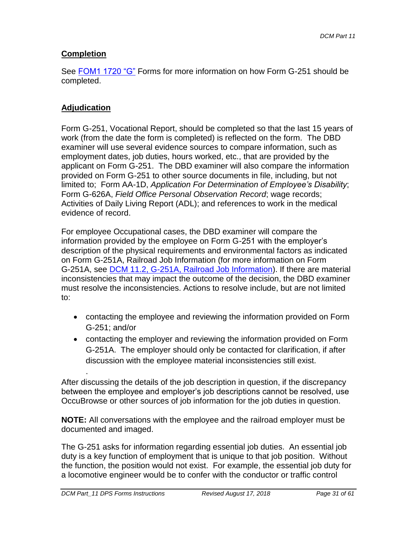### **Completion**

See FOM1 1720 "G" Forms for more information on how Form G-251 should be completed.

### **Adjudication**

Form G-251, Vocational Report, should be completed so that the last 15 years of work (from the date the form is completed) is reflected on the form. The DBD examiner will use several evidence sources to compare information, such as employment dates, job duties, hours worked, etc., that are provided by the applicant on Form G-251. The DBD examiner will also compare the information provided on Form G-251 to other source documents in file, including, but not limited to; Form AA-1D, *Application For Determination of Employee's Disability*; Form G-626A, *Field Office Personal Observation Record*; wage records; Activities of Daily Living Report (ADL); and references to work in the medical evidence of record.

For employee Occupational cases, the DBD examiner will compare the information provided by the employee on Form G-251 with the employer's description of the physical requirements and environmental factors as indicated on Form G-251A, Railroad Job Information (for more information on Form G-251A, see DCM 11.2, G-251A, [Railroad Job Information\)](http://rrbsharepoint/sites/Pub/DisMan/DCM/Documents/DCM_Part_11.pdf#SEARCH=G-251A_Railroad_Job_Information_Form). If there are material inconsistencies that may impact the outcome of the decision, the DBD examiner must resolve the inconsistencies. Actions to resolve include, but are not limited to:

- contacting the employee and reviewing the information provided on Form G-251; and/or
- contacting the employer and reviewing the information provided on Form G-251A. The employer should only be contacted for clarification, if after discussion with the employee material inconsistencies still exist.

After discussing the details of the job description in question, if the discrepancy between the employee and employer's job descriptions cannot be resolved, use OccuBrowse or other sources of job information for the job duties in question.

**NOTE:** All conversations with the employee and the railroad employer must be documented and imaged.

The G-251 asks for information regarding essential job duties. An essential job duty is a key function of employment that is unique to that job position. Without the function, the position would not exist. For example, the essential job duty for a locomotive engineer would be to confer with the conductor or traffic control

.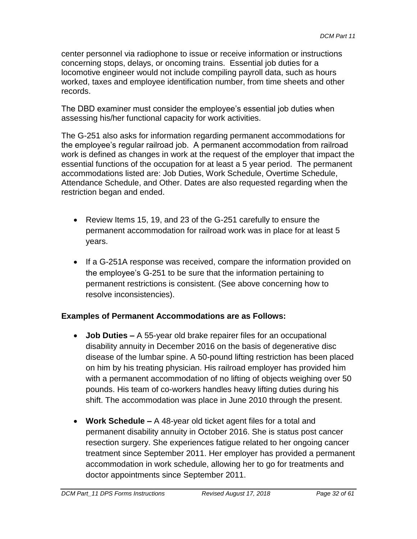center personnel via radiophone to issue or receive information or instructions concerning stops, delays, or oncoming trains. Essential job duties for a locomotive engineer would not include compiling payroll data, such as hours worked, taxes and employee identification number, from time sheets and other records.

The DBD examiner must consider the employee's essential job duties when assessing his/her functional capacity for work activities.

The G-251 also asks for information regarding permanent accommodations for the employee's regular railroad job. A permanent accommodation from railroad work is defined as changes in work at the request of the employer that impact the essential functions of the occupation for at least a 5 year period. The permanent accommodations listed are: Job Duties, Work Schedule, Overtime Schedule, Attendance Schedule, and Other. Dates are also requested regarding when the restriction began and ended.

- Review Items 15, 19, and 23 of the G-251 carefully to ensure the permanent accommodation for railroad work was in place for at least 5 years.
- If a G-251A response was received, compare the information provided on the employee's G-251 to be sure that the information pertaining to permanent restrictions is consistent. (See above concerning how to resolve inconsistencies).

# **Examples of Permanent Accommodations are as Follows:**

- **Job Duties –** A 55-year old brake repairer files for an occupational disability annuity in December 2016 on the basis of degenerative disc disease of the lumbar spine. A 50-pound lifting restriction has been placed on him by his treating physician. His railroad employer has provided him with a permanent accommodation of no lifting of objects weighing over 50 pounds. His team of co-workers handles heavy lifting duties during his shift. The accommodation was place in June 2010 through the present.
- **Work Schedule –** A 48-year old ticket agent files for a total and permanent disability annuity in October 2016. She is status post cancer resection surgery. She experiences fatigue related to her ongoing cancer treatment since September 2011. Her employer has provided a permanent accommodation in work schedule, allowing her to go for treatments and doctor appointments since September 2011.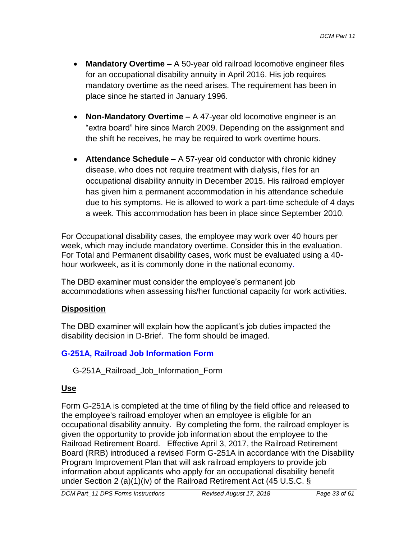- **Mandatory Overtime –** A 50-year old railroad locomotive engineer files for an occupational disability annuity in April 2016. His job requires mandatory overtime as the need arises. The requirement has been in place since he started in January 1996.
- **Non-Mandatory Overtime –** A 47-year old locomotive engineer is an "extra board" hire since March 2009. Depending on the assignment and the shift he receives, he may be required to work overtime hours.
- **Attendance Schedule –** A 57-year old conductor with chronic kidney disease, who does not require treatment with dialysis, files for an occupational disability annuity in December 2015. His railroad employer has given him a permanent accommodation in his attendance schedule due to his symptoms. He is allowed to work a part-time schedule of 4 days a week. This accommodation has been in place since September 2010.

For Occupational disability cases, the employee may work over 40 hours per week, which may include mandatory overtime. Consider this in the evaluation. For Total and Permanent disability cases, work must be evaluated using a 40 hour workweek, as it is commonly done in the national economy.

The DBD examiner must consider the employee's permanent job accommodations when assessing his/her functional capacity for work activities.

# **Disposition**

The DBD examiner will explain how the applicant's job duties impacted the disability decision in D-Brief. The form should be imaged.

# **G-251A, Railroad Job Information Form**

G-251A\_Railroad\_Job\_Information\_Form

# **Use**

Form G-251A is completed at the time of filing by the field office and released to the employee's railroad employer when an employee is eligible for an occupational disability annuity. By completing the form, the railroad employer is given the opportunity to provide job information about the employee to the Railroad Retirement Board. Effective April 3, 2017, the Railroad Retirement Board (RRB) introduced a revised Form G-251A in accordance with the Disability Program Improvement Plan that will ask railroad employers to provide job information about applicants who apply for an occupational disability benefit under Section 2 (a)(1)(iv) of the Railroad Retirement Act (45 U.S.C. §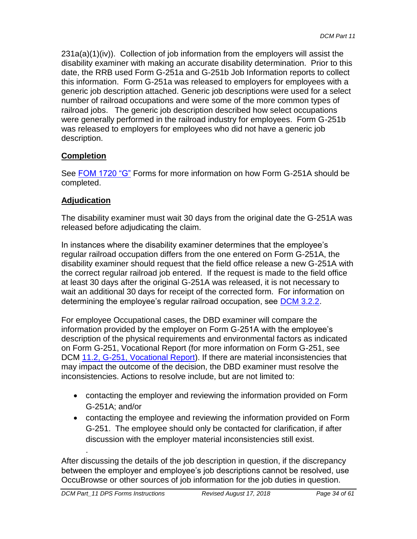$231a(a)(1)(iv)$ . Collection of job information from the employers will assist the disability examiner with making an accurate disability determination. Prior to this date, the RRB used Form G-251a and G-251b Job Information reports to collect this information. Form G-251a was released to employers for employees with a generic job description attached. Generic job descriptions were used for a select number of railroad occupations and were some of the more common types of railroad jobs. The generic job description described how select occupations were generally performed in the railroad industry for employees. Form G-251b was released to employers for employees who did not have a generic job description.

## **Completion**

See FOM 1720 "G" Forms for more information on how Form G-251A should be completed.

## **Adjudication**

The disability examiner must wait 30 days from the original date the G-251A was released before adjudicating the claim.

In instances where the disability examiner determines that the employee's regular railroad occupation differs from the one entered on Form G-251A, the disability examiner should request that the field office release a new G-251A with the correct regular railroad job entered. If the request is made to the field office at least 30 days after the original G-251A was released, it is not necessary to wait an additional 30 days for receipt of the corrected form. For information on determining the employee's regular railroad occupation, see [DCM 3.2.2.](http://rrbsharepoint/sites/Pub/DisMan/DCM/Documents/DCM_Part_3.pdf#SEARCH=3.2.2)

For employee Occupational cases, the DBD examiner will compare the information provided by the employer on Form G-251A with the employee's description of the physical requirements and environmental factors as indicated on Form G-251, Vocational Report (for more information on Form G-251, see DCM [11.2, G-251, Vocational Report\)](http://rrbsharepoint/sites/Pub/DisMan/DCM/Documents/DCM_Part_11.pdf#SEARCH=G-251_Vocational_Report). If there are material inconsistencies that may impact the outcome of the decision, the DBD examiner must resolve the inconsistencies. Actions to resolve include, but are not limited to:

- contacting the employer and reviewing the information provided on Form G-251A; and/or
- contacting the employee and reviewing the information provided on Form G-251. The employee should only be contacted for clarification, if after discussion with the employer material inconsistencies still exist.

After discussing the details of the job description in question, if the discrepancy between the employer and employee's job descriptions cannot be resolved, use OccuBrowse or other sources of job information for the job duties in question.

.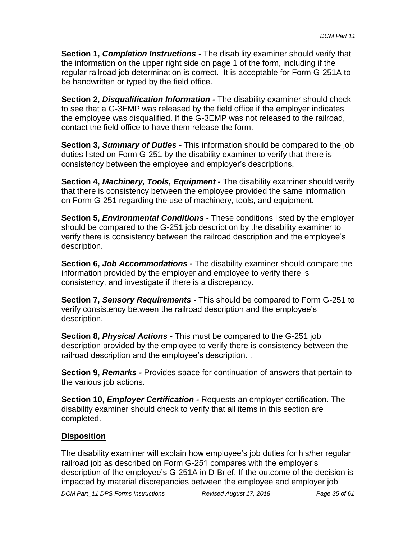**Section 1,** *Completion Instructions -* The disability examiner should verify that the information on the upper right side on page 1 of the form, including if the regular railroad job determination is correct. It is acceptable for Form G-251A to be handwritten or typed by the field office.

**Section 2,** *Disqualification Information -* The disability examiner should check to see that a G-3EMP was released by the field office if the employer indicates the employee was disqualified. If the G-3EMP was not released to the railroad, contact the field office to have them release the form.

**Section 3,** *Summary of Duties -* This information should be compared to the job duties listed on Form G-251 by the disability examiner to verify that there is consistency between the employee and employer's descriptions.

**Section 4,** *Machinery, Tools, Equipment -* The disability examiner should verify that there is consistency between the employee provided the same information on Form G-251 regarding the use of machinery, tools, and equipment.

**Section 5,** *Environmental Conditions -* These conditions listed by the employer should be compared to the G-251 job description by the disability examiner to verify there is consistency between the railroad description and the employee's description.

**Section 6,** *Job Accommodations -* The disability examiner should compare the information provided by the employer and employee to verify there is consistency, and investigate if there is a discrepancy.

**Section 7,** *Sensory Requirements -* This should be compared to Form G-251 to verify consistency between the railroad description and the employee's description.

**Section 8,** *Physical Actions -* This must be compared to the G-251 job description provided by the employee to verify there is consistency between the railroad description and the employee's description. .

**Section 9,** *Remarks -* Provides space for continuation of answers that pertain to the various job actions.

**Section 10,** *Employer Certification -* Requests an employer certification. The disability examiner should check to verify that all items in this section are completed.

# **Disposition**

The disability examiner will explain how employee's job duties for his/her regular railroad job as described on Form G-251 compares with the employer's description of the employee's G-251A in D-Brief. If the outcome of the decision is impacted by material discrepancies between the employee and employer job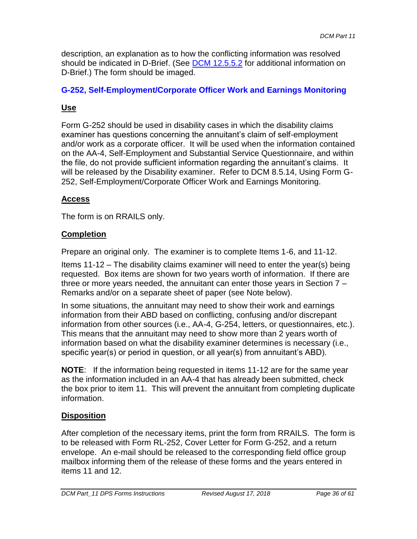description, an explanation as to how the conflicting information was resolved should be indicated in D-Brief. (See **DCM 12.5.5.2** for additional information on D-Brief.) The form should be imaged.

# **G-252, Self-Employment/Corporate Officer Work and Earnings Monitoring**

# **Use**

Form G-252 should be used in disability cases in which the disability claims examiner has questions concerning the annuitant's claim of self-employment and/or work as a corporate officer. It will be used when the information contained on the AA-4, Self-Employment and Substantial Service Questionnaire, and within the file, do not provide sufficient information regarding the annuitant's claims. It will be released by the Disability examiner. Refer to DCM 8.5.14, Using Form G-252, Self-Employment/Corporate Officer Work and Earnings Monitoring.

## **Access**

The form is on RRAILS only.

## **Completion**

Prepare an original only. The examiner is to complete Items 1-6, and 11-12.

Items 11-12 – The disability claims examiner will need to enter the year(s) being requested. Box items are shown for two years worth of information. If there are three or more years needed, the annuitant can enter those years in Section 7 – Remarks and/or on a separate sheet of paper (see Note below).

In some situations, the annuitant may need to show their work and earnings information from their ABD based on conflicting, confusing and/or discrepant information from other sources (i.e., AA-4, G-254, letters, or questionnaires, etc.). This means that the annuitant may need to show more than 2 years worth of information based on what the disability examiner determines is necessary (i.e., specific year(s) or period in question, or all year(s) from annuitant's ABD).

**NOTE**: If the information being requested in items 11-12 are for the same year as the information included in an AA-4 that has already been submitted, check the box prior to item 11. This will prevent the annuitant from completing duplicate information.

# **Disposition**

After completion of the necessary items, print the form from RRAILS. The form is to be released with Form RL-252, Cover Letter for Form G-252, and a return envelope. An e-mail should be released to the corresponding field office group mailbox informing them of the release of these forms and the years entered in items 11 and 12.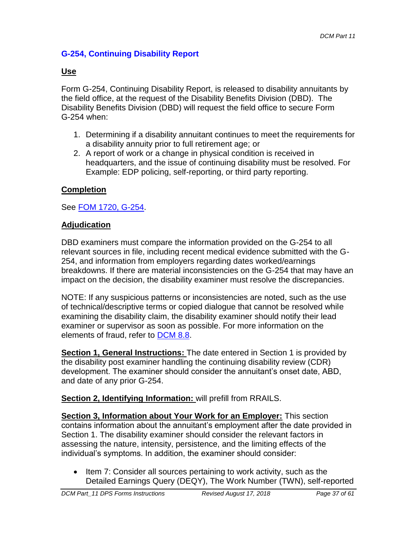# **G-254, Continuing Disability Report**

## **Use**

Form G-254, Continuing Disability Report, is released to disability annuitants by the field office, at the request of the Disability Benefits Division (DBD). The Disability Benefits Division (DBD) will request the field office to secure Form G-254 when:

- 1. Determining if a disability annuitant continues to meet the requirements for a disability annuity prior to full retirement age; or
- 2. A report of work or a change in physical condition is received in headquarters, and the issue of continuing disability must be resolved. For Example: EDP policing, self-reporting, or third party reporting.

# **Completion**

See FOM 1720, G-254.

## **Adjudication**

DBD examiners must compare the information provided on the G-254 to all relevant sources in file, including recent medical evidence submitted with the G-254, and information from employers regarding dates worked/earnings breakdowns. If there are material inconsistencies on the G-254 that may have an impact on the decision, the disability examiner must resolve the discrepancies.

NOTE: If any suspicious patterns or inconsistencies are noted, such as the use of technical/descriptive terms or copied dialogue that cannot be resolved while examining the disability claim, the disability examiner should notify their lead examiner or supervisor as soon as possible. For more information on the elements of fraud, refer to [DCM 8.8.](http://rrbsharepoint/sites/Pub/DisMan/DCM/Documents/DCM_Part_8.pdf)

**Section 1, General Instructions:** The date entered in Section 1 is provided by the disability post examiner handling the continuing disability review (CDR) development. The examiner should consider the annuitant's onset date, ABD, and date of any prior G-254.

**Section 2, Identifying Information:** will prefill from RRAILS.

**Section 3, Information about Your Work for an Employer:** This section contains information about the annuitant's employment after the date provided in Section 1. The disability examiner should consider the relevant factors in assessing the nature, intensity, persistence, and the limiting effects of the individual's symptoms. In addition, the examiner should consider:

• Item 7: Consider all sources pertaining to work activity, such as the Detailed Earnings Query (DEQY), The Work Number (TWN), self-reported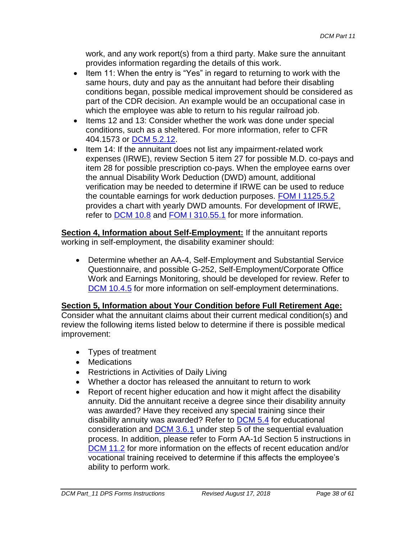work, and any work report(s) from a third party. Make sure the annuitant provides information regarding the details of this work.

- Item 11: When the entry is "Yes" in regard to returning to work with the same hours, duty and pay as the annuitant had before their disabling conditions began, possible medical improvement should be considered as part of the CDR decision. An example would be an occupational case in which the employee was able to return to his regular railroad job.
- Items 12 and 13: Consider whether the work was done under special conditions, such as a sheltered. For more information, refer to CFR 404.1573 or [DCM 5.2.12.](http://rrbsharepoint/sites/Pub/DisMan/DCM/Documents/DCM_Part_5.pdf#SEARCH=5.2.12)
- $\bullet$  Item 14: If the annuitant does not list any impairment-related work expenses (IRWE), review Section 5 item 27 for possible M.D. co-pays and item 28 for possible prescription co-pays. When the employee earns over the annual Disability Work Deduction (DWD) amount, additional verification may be needed to determine if IRWE can be used to reduce the countable earnings for work deduction purposes. [FOM I 1125.5.2](http://rrbsharepoint/sites/Pub/FOM/Art11/Documents/FOM1_1125.pdf#SEARCH=1125.5.2) provides a chart with yearly DWD amounts. For development of IRWE, refer to [DCM 10.8](http://rrbsharepoint/sites/Pub/DisMan/DCM/Documents/DCM_Part_10.pdf#SEARCH=10.8) and [FOM I 310.55.1](http://rrbsharepoint/sites/Pub/FOM/Art3/Documents/FOM1_310.pdf#SEARCH=310.55.1) for more information.

**Section 4, Information about Self-Employment:** If the annuitant reports working in self-employment, the disability examiner should:

 Determine whether an AA-4, Self-Employment and Substantial Service Questionnaire, and possible G-252, Self-Employment/Corporate Office Work and Earnings Monitoring, should be developed for review. Refer to [DCM 10.4.5](http://rrbsharepoint/sites/Pub/DisMan/DCM/Documents/DCM_Part_10.pdf#SEARCH=10.4.5) for more information on self-employment determinations.

### **Section 5, Information about Your Condition before Full Retirement Age:**

Consider what the annuitant claims about their current medical condition(s) and review the following items listed below to determine if there is possible medical improvement:

- Types of treatment
- Medications
- Restrictions in Activities of Daily Living
- Whether a doctor has released the annuitant to return to work
- Report of recent higher education and how it might affect the disability annuity. Did the annuitant receive a degree since their disability annuity was awarded? Have they received any special training since their disability annuity was awarded? Refer to [DCM 5.4](http://rrbsharepoint/sites/Pub/DisMan/DCM/Documents/DCM_Part_5.pdf#SEARCH=5.4) for educational consideration and **DCM 3.6.1** under step 5 of the sequential evaluation process. In addition, please refer to Form AA-1d Section 5 instructions in [DCM 11.2](http://rrbsharepoint/sites/Pub/DisMan/DCM/Documents/DCM_Part_11.pdf#SEARCH=11.2) for more information on the effects of recent education and/or vocational training received to determine if this affects the employee's ability to perform work.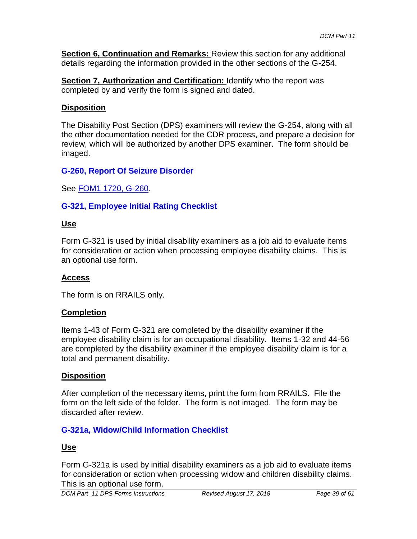**Section 6, Continuation and Remarks: Review this section for any additional** details regarding the information provided in the other sections of the G-254.

**Section 7, Authorization and Certification:** Identify who the report was completed by and verify the form is signed and dated.

### **Disposition**

The Disability Post Section (DPS) examiners will review the G-254, along with all the other documentation needed for the CDR process, and prepare a decision for review, which will be authorized by another DPS examiner. The form should be imaged.

### **G-260, Report Of Seizure Disorder**

See FOM1 1720, G-260.

## **G-321, Employee Initial Rating Checklist**

### **Use**

Form G-321 is used by initial disability examiners as a job aid to evaluate items for consideration or action when processing employee disability claims. This is an optional use form.

### **Access**

The form is on RRAILS only.

### **Completion**

Items 1-43 of Form G-321 are completed by the disability examiner if the employee disability claim is for an occupational disability. Items 1-32 and 44-56 are completed by the disability examiner if the employee disability claim is for a total and permanent disability.

### **Disposition**

After completion of the necessary items, print the form from RRAILS. File the form on the left side of the folder. The form is not imaged. The form may be discarded after review.

### **G-321a, Widow/Child Information Checklist**

### **Use**

Form G-321a is used by initial disability examiners as a job aid to evaluate items for consideration or action when processing widow and children disability claims. This is an optional use form.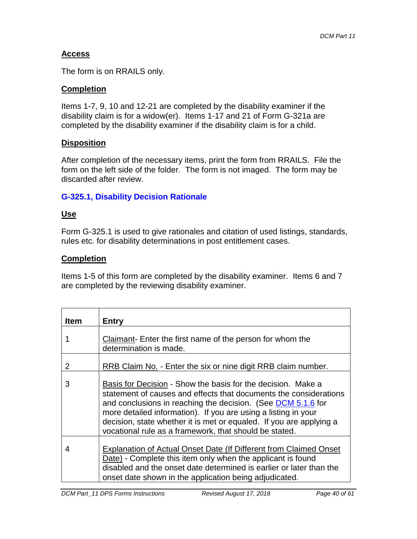# **Access**

The form is on RRAILS only.

### **Completion**

Items 1-7, 9, 10 and 12-21 are completed by the disability examiner if the disability claim is for a widow(er). Items 1-17 and 21 of Form G-321a are completed by the disability examiner if the disability claim is for a child.

## **Disposition**

After completion of the necessary items, print the form from RRAILS. File the form on the left side of the folder. The form is not imaged. The form may be discarded after review.

# **G-325.1, Disability Decision Rationale**

### **Use**

Form G-325.1 is used to give rationales and citation of used listings, standards, rules etc. for disability determinations in post entitlement cases.

## **Completion**

Items 1-5 of this form are completed by the disability examiner. Items 6 and 7 are completed by the reviewing disability examiner.

| <b>Item</b> | Entry                                                                                                                                                                                                                                                                                                                                                                                                |
|-------------|------------------------------------------------------------------------------------------------------------------------------------------------------------------------------------------------------------------------------------------------------------------------------------------------------------------------------------------------------------------------------------------------------|
|             | Claimant- Enter the first name of the person for whom the<br>determination is made.                                                                                                                                                                                                                                                                                                                  |
| 2           | RRB Claim No. - Enter the six or nine digit RRB claim number.                                                                                                                                                                                                                                                                                                                                        |
| 3           | Basis for Decision - Show the basis for the decision. Make a<br>statement of causes and effects that documents the considerations<br>and conclusions in reaching the decision. (See DCM 5.1.6 for<br>more detailed information). If you are using a listing in your<br>decision, state whether it is met or equaled. If you are applying a<br>vocational rule as a framework, that should be stated. |
| 4           | Explanation of Actual Onset Date (If Different from Claimed Onset<br>Date) - Complete this item only when the applicant is found<br>disabled and the onset date determined is earlier or later than the<br>onset date shown in the application being adjudicated.                                                                                                                                    |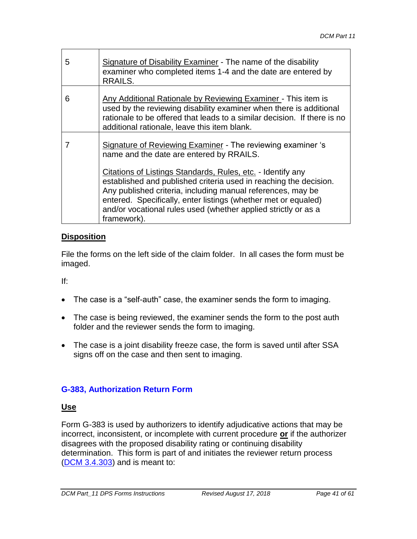| 5 | Signature of Disability Examiner - The name of the disability<br>examiner who completed items 1-4 and the date are entered by<br>RRAILS.                                                                                                                                                                                                                                                                                                                      |
|---|---------------------------------------------------------------------------------------------------------------------------------------------------------------------------------------------------------------------------------------------------------------------------------------------------------------------------------------------------------------------------------------------------------------------------------------------------------------|
| 6 | Any Additional Rationale by Reviewing Examiner - This item is<br>used by the reviewing disability examiner when there is additional<br>rationale to be offered that leads to a similar decision. If there is no<br>additional rationale, leave this item blank.                                                                                                                                                                                               |
|   | Signature of Reviewing Examiner - The reviewing examiner 's<br>name and the date are entered by RRAILS.<br>Citations of Listings Standards, Rules, etc. - Identify any<br>established and published criteria used in reaching the decision.<br>Any published criteria, including manual references, may be<br>entered. Specifically, enter listings (whether met or equaled)<br>and/or vocational rules used (whether applied strictly or as a<br>framework). |

## **Disposition**

File the forms on the left side of the claim folder. In all cases the form must be imaged.

If:

- The case is a "self-auth" case, the examiner sends the form to imaging.
- The case is being reviewed, the examiner sends the form to the post auth folder and the reviewer sends the form to imaging.
- The case is a joint disability freeze case, the form is saved until after SSA signs off on the case and then sent to imaging.

# **G-383, Authorization Return Form**

# **Use**

Form G-383 is used by authorizers to identify adjudicative actions that may be incorrect, inconsistent, or incomplete with current procedure **or** if the authorizer disagrees with the proposed disability rating or continuing disability determination. This form is part of and initiates the reviewer return process (DCM 3.4.303) and is meant to: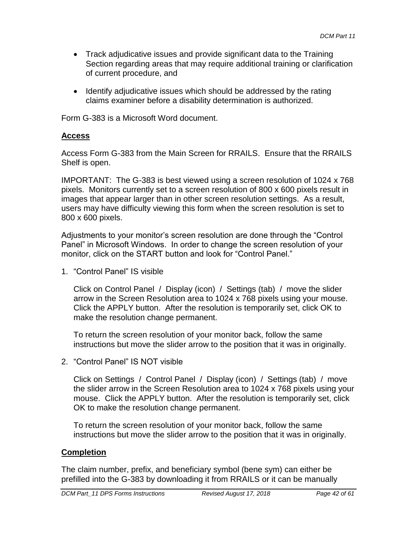- Track adjudicative issues and provide significant data to the Training Section regarding areas that may require additional training or clarification of current procedure, and
- Identify adjudicative issues which should be addressed by the rating claims examiner before a disability determination is authorized.

Form G-383 is a Microsoft Word document.

#### **Access**

Access Form G-383 from the Main Screen for RRAILS. Ensure that the RRAILS Shelf is open.

IMPORTANT: The G-383 is best viewed using a screen resolution of 1024 x 768 pixels. Monitors currently set to a screen resolution of 800 x 600 pixels result in images that appear larger than in other screen resolution settings. As a result, users may have difficulty viewing this form when the screen resolution is set to 800 x 600 pixels.

Adjustments to your monitor's screen resolution are done through the "Control Panel" in Microsoft Windows. In order to change the screen resolution of your monitor, click on the START button and look for "Control Panel."

1. "Control Panel" IS visible

Click on Control Panel / Display (icon) / Settings (tab) / move the slider arrow in the Screen Resolution area to 1024 x 768 pixels using your mouse. Click the APPLY button. After the resolution is temporarily set, click OK to make the resolution change permanent.

To return the screen resolution of your monitor back, follow the same instructions but move the slider arrow to the position that it was in originally.

2. "Control Panel" IS NOT visible

Click on Settings / Control Panel / Display (icon) / Settings (tab) / move the slider arrow in the Screen Resolution area to 1024 x 768 pixels using your mouse. Click the APPLY button. After the resolution is temporarily set, click OK to make the resolution change permanent.

To return the screen resolution of your monitor back, follow the same instructions but move the slider arrow to the position that it was in originally.

### **Completion**

The claim number, prefix, and beneficiary symbol (bene sym) can either be prefilled into the G-383 by downloading it from RRAILS or it can be manually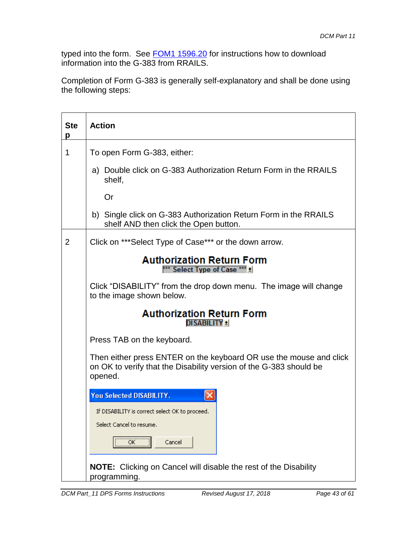typed into the form. See FOM1 1596.20 for instructions how to download information into the G-383 from RRAILS.

Completion of Form G-383 is generally self-explanatory and shall be done using the following steps:

| <b>Ste</b><br>p | <b>Action</b>                                                                                                                                       |
|-----------------|-----------------------------------------------------------------------------------------------------------------------------------------------------|
| 1               | To open Form G-383, either:                                                                                                                         |
|                 | a) Double click on G-383 Authorization Return Form in the RRAILS<br>shelf,                                                                          |
|                 | Or                                                                                                                                                  |
|                 | b) Single click on G-383 Authorization Return Form in the RRAILS<br>shelf AND then click the Open button.                                           |
| 2               | Click on *** Select Type of Case*** or the down arrow.                                                                                              |
|                 | <b>Authorization Return Form</b><br>*** Select Type of Case *** =                                                                                   |
|                 | Click "DISABILITY" from the drop down menu. The image will change<br>to the image shown below.                                                      |
|                 | <b>Authorization Return Form</b><br>DISABILITY ±                                                                                                    |
|                 | Press TAB on the keyboard.                                                                                                                          |
|                 | Then either press ENTER on the keyboard OR use the mouse and click<br>on OK to verify that the Disability version of the G-383 should be<br>opened. |
|                 | You Selected DISABILITY.                                                                                                                            |
|                 | If DISABILITY is correct select OK to proceed.<br>Select Cancel to resume.                                                                          |
|                 |                                                                                                                                                     |
|                 | Cancel<br>ОК                                                                                                                                        |
|                 | <b>NOTE:</b> Clicking on Cancel will disable the rest of the Disability                                                                             |
|                 | programming.                                                                                                                                        |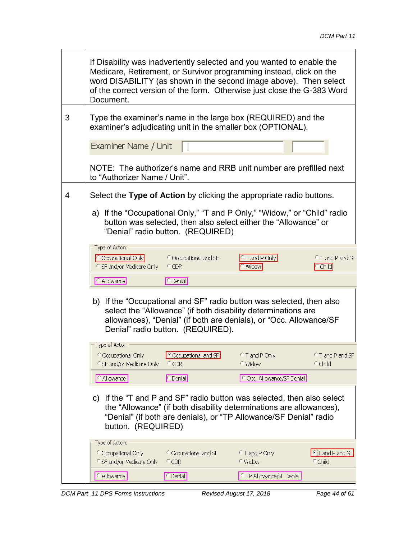|   | Document.                                                                                                                                                                                                                                        | If Disability was inadvertently selected and you wanted to enable the<br>Medicare, Retirement, or Survivor programming instead, click on the<br>word DISABILITY (as shown in the second image above). Then select<br>of the correct version of the form. Otherwise just close the G-383 Word |                                      |                                        |  |  |
|---|--------------------------------------------------------------------------------------------------------------------------------------------------------------------------------------------------------------------------------------------------|----------------------------------------------------------------------------------------------------------------------------------------------------------------------------------------------------------------------------------------------------------------------------------------------|--------------------------------------|----------------------------------------|--|--|
| 3 |                                                                                                                                                                                                                                                  | Type the examiner's name in the large box (REQUIRED) and the<br>examiner's adjudicating unit in the smaller box (OPTIONAL).                                                                                                                                                                  |                                      |                                        |  |  |
|   | Examiner Name / Unit                                                                                                                                                                                                                             |                                                                                                                                                                                                                                                                                              |                                      |                                        |  |  |
|   | to "Authorizer Name / Unit".                                                                                                                                                                                                                     | NOTE: The authorizer's name and RRB unit number are prefilled next                                                                                                                                                                                                                           |                                      |                                        |  |  |
| 4 |                                                                                                                                                                                                                                                  | Select the Type of Action by clicking the appropriate radio buttons.                                                                                                                                                                                                                         |                                      |                                        |  |  |
|   | a) If the "Occupational Only," "T and P Only," "Widow," or "Child" radio<br>button was selected, then also select either the "Allowance" or<br>"Denial" radio button. (REQUIRED)                                                                 |                                                                                                                                                                                                                                                                                              |                                      |                                        |  |  |
|   | Type of Action:<br>C Occupational Only<br><sup>C</sup> SF and/or Medicare Only                                                                                                                                                                   | <sup>C</sup> Occupational and SF<br>$^{\circ}$ CDR                                                                                                                                                                                                                                           | T and P Only<br><b>Widow</b>         | $C$ T and P and SF<br>C Child          |  |  |
|   | C Allowance                                                                                                                                                                                                                                      | C Denial                                                                                                                                                                                                                                                                                     |                                      |                                        |  |  |
|   | b) If the "Occupational and SF" radio button was selected, then also<br>select the "Allowance" (if both disability determinations are<br>allowances), "Denial" (if both are denials), or "Occ. Allowance/SF<br>Denial" radio button. (REQUIRED). |                                                                                                                                                                                                                                                                                              |                                      |                                        |  |  |
|   | Type of Action:<br>Cccupational Only<br><sup>C</sup> SF and/or Medicare Only                                                                                                                                                                     | <b>C</b> Occupational and SF<br>$^{\circ}$ CDR                                                                                                                                                                                                                                               | <sup>©</sup> T and P Only<br>C Widow | <sup>©</sup> T and P and SF<br>C Child |  |  |
|   | C Occ. Allowance/SF Denial<br>C Allowance<br>C Denial                                                                                                                                                                                            |                                                                                                                                                                                                                                                                                              |                                      |                                        |  |  |
|   | If the "T and P and SF" radio button was selected, then also select<br>C)<br>the "Allowance" (if both disability determinations are allowances),<br>"Denial" (if both are denials), or "TP Allowance/SF Denial" radio<br>button. (REQUIRED)      |                                                                                                                                                                                                                                                                                              |                                      |                                        |  |  |
|   | Type of Action:<br><sup>C</sup> Occupational Only                                                                                                                                                                                                | <sup>C</sup> Occupational and SF                                                                                                                                                                                                                                                             | $C$ T and P Only                     | $\lceil \cdot \rceil$ and P and SF     |  |  |
|   | <sup>C</sup> SF and/or Medicare Only                                                                                                                                                                                                             | $C$ CDR                                                                                                                                                                                                                                                                                      | C Widow                              | <sup>O</sup> Child                     |  |  |
|   |                                                                                                                                                                                                                                                  |                                                                                                                                                                                                                                                                                              |                                      |                                        |  |  |

 $\Gamma$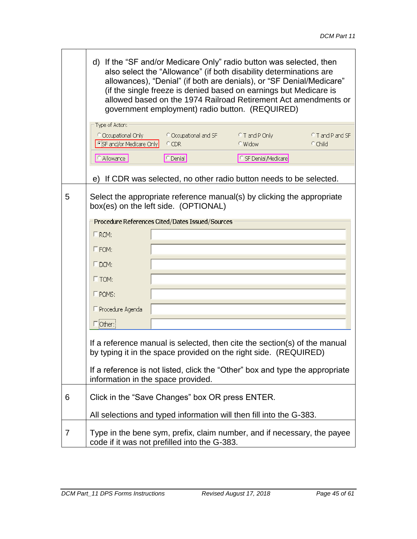|   | d) If the "SF and/or Medicare Only" radio button was selected, then<br>also select the "Allowance" (if both disability determinations are<br>allowances), "Denial" (if both are denials), or "SF Denial/Medicare"<br>(if the single freeze is denied based on earnings but Medicare is<br>allowed based on the 1974 Railroad Retirement Act amendments or<br>government employment) radio button. (REQUIRED) |                                                                     |                                      |                                          |  |
|---|--------------------------------------------------------------------------------------------------------------------------------------------------------------------------------------------------------------------------------------------------------------------------------------------------------------------------------------------------------------------------------------------------------------|---------------------------------------------------------------------|--------------------------------------|------------------------------------------|--|
|   | Type of Action:<br><sup>C</sup> Occupational Only<br><b>F</b> SF and/or Medicare Only                                                                                                                                                                                                                                                                                                                        | <sup>©</sup> Occupational and SF<br>$^{\circ}$ CDR                  | <sup>©</sup> T and P Only<br>C Widow | $C$ T and P and SF<br><sup>O</sup> Child |  |
|   | C Allowance                                                                                                                                                                                                                                                                                                                                                                                                  | C Denial                                                            | SF Denial/Medicare                   |                                          |  |
|   |                                                                                                                                                                                                                                                                                                                                                                                                              | e) If CDR was selected, no other radio button needs to be selected. |                                      |                                          |  |
| 5 | Select the appropriate reference manual(s) by clicking the appropriate<br>box(es) on the left side. (OPTIONAL)                                                                                                                                                                                                                                                                                               |                                                                     |                                      |                                          |  |
|   |                                                                                                                                                                                                                                                                                                                                                                                                              | Procedure References Cited/Dates Issued/Sources                     |                                      |                                          |  |
|   | $\Box$ RCM:                                                                                                                                                                                                                                                                                                                                                                                                  |                                                                     |                                      |                                          |  |
|   | $\Box$ FOM:                                                                                                                                                                                                                                                                                                                                                                                                  |                                                                     |                                      |                                          |  |
|   | $\Box$ DCM:                                                                                                                                                                                                                                                                                                                                                                                                  |                                                                     |                                      |                                          |  |
|   | $\Box$ TOM:                                                                                                                                                                                                                                                                                                                                                                                                  |                                                                     |                                      |                                          |  |
|   | $\square$ POMS:                                                                                                                                                                                                                                                                                                                                                                                              |                                                                     |                                      |                                          |  |
|   | □ Procedure Agenda                                                                                                                                                                                                                                                                                                                                                                                           |                                                                     |                                      |                                          |  |
|   | 口Other:                                                                                                                                                                                                                                                                                                                                                                                                      |                                                                     |                                      |                                          |  |
|   | If a reference manual is selected, then cite the section(s) of the manual<br>by typing it in the space provided on the right side. (REQUIRED)<br>If a reference is not listed, click the "Other" box and type the appropriate                                                                                                                                                                                |                                                                     |                                      |                                          |  |
|   | information in the space provided.                                                                                                                                                                                                                                                                                                                                                                           |                                                                     |                                      |                                          |  |
| 6 |                                                                                                                                                                                                                                                                                                                                                                                                              | Click in the "Save Changes" box OR press ENTER.                     |                                      |                                          |  |
|   |                                                                                                                                                                                                                                                                                                                                                                                                              | All selections and typed information will then fill into the G-383. |                                      |                                          |  |
| 7 | Type in the bene sym, prefix, claim number, and if necessary, the payee<br>code if it was not prefilled into the G-383.                                                                                                                                                                                                                                                                                      |                                                                     |                                      |                                          |  |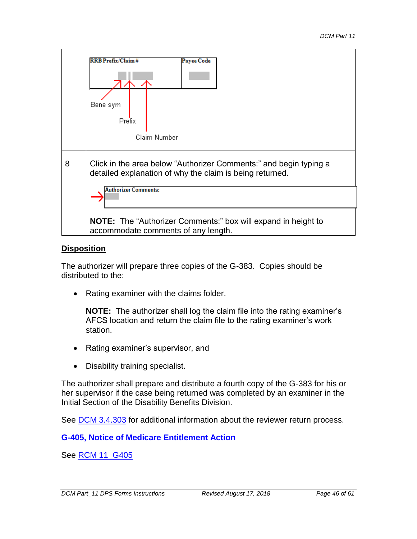

#### **Disposition**

The authorizer will prepare three copies of the G-383. Copies should be distributed to the:

• Rating examiner with the claims folder.

**NOTE:** The authorizer shall log the claim file into the rating examiner's AFCS location and return the claim file to the rating examiner's work station.

- Rating examiner's supervisor, and
- Disability training specialist.

The authorizer shall prepare and distribute a fourth copy of the G-383 for his or her supervisor if the case being returned was completed by an examiner in the Initial Section of the Disability Benefits Division.

See DCM 3.4.303 for additional information about the reviewer return process.

### **G-405, Notice of Medicare Entitlement Action**

See RCM 11\_G405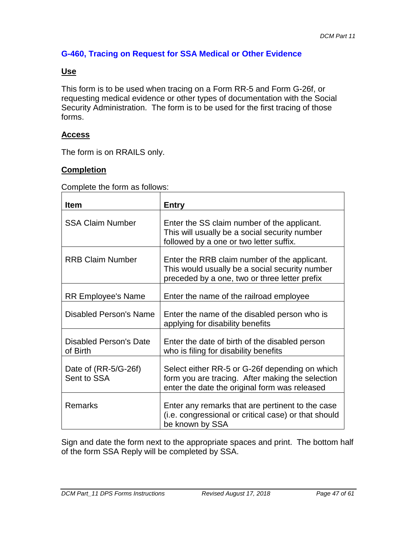## **G-460, Tracing on Request for SSA Medical or Other Evidence**

#### **Use**

This form is to be used when tracing on a Form RR-5 and Form G-26f, or requesting medical evidence or other types of documentation with the Social Security Administration. The form is to be used for the first tracing of those forms.

#### **Access**

The form is on RRAILS only.

#### **Completion**

Complete the form as follows:

| <b>Item</b>                               | <b>Entry</b>                                                                                                                                        |
|-------------------------------------------|-----------------------------------------------------------------------------------------------------------------------------------------------------|
| <b>SSA Claim Number</b>                   | Enter the SS claim number of the applicant.<br>This will usually be a social security number<br>followed by a one or two letter suffix.             |
| <b>RRB Claim Number</b>                   | Enter the RRB claim number of the applicant.<br>This would usually be a social security number<br>preceded by a one, two or three letter prefix     |
| <b>RR Employee's Name</b>                 | Enter the name of the railroad employee                                                                                                             |
| <b>Disabled Person's Name</b>             | Enter the name of the disabled person who is<br>applying for disability benefits                                                                    |
| <b>Disabled Person's Date</b><br>of Birth | Enter the date of birth of the disabled person<br>who is filing for disability benefits                                                             |
| Date of (RR-5/G-26f)<br>Sent to SSA       | Select either RR-5 or G-26f depending on which<br>form you are tracing. After making the selection<br>enter the date the original form was released |
| <b>Remarks</b>                            | Enter any remarks that are pertinent to the case<br>(i.e. congressional or critical case) or that should<br>be known by SSA                         |

Sign and date the form next to the appropriate spaces and print. The bottom half of the form SSA Reply will be completed by SSA.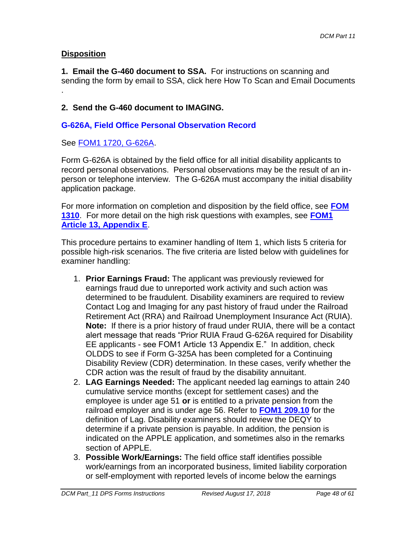## **Disposition**

**1. Email the G-460 document to SSA.** For instructions on scanning and sending the form by email to SSA, click here How To Scan and Email Documents .

# **2. Send the G-460 document to IMAGING.**

### **G-626A, Field Office Personal Observation Record**

See [FOM1 1720, G-626A.](http://rrbsharepoint/sites/Pub/FOM/Art17/Documents/FOM1_1720.pdf#SEARCH=G-626A)

Form G-626A is obtained by the field office for all initial disability applicants to record personal observations. Personal observations may be the result of an inperson or telephone interview. The G-626A must accompany the initial disability application package.

For more information on completion and disposition by the field office, see **[FOM](http://rrbsharepoint/sites/Pub/FOM/Art13/Documents/FOM1_1310.pdf)  [1310](http://rrbsharepoint/sites/Pub/FOM/Art13/Documents/FOM1_1310.pdf)**. For more detail on the high risk questions with examples, see **[FOM1](http://rrbsharepoint/sites/Pub/FOM/Art13/Documents/FOM1_Art13_Appendices.pdf#search=Appendix E)  [Article 13, Appendix E](http://rrbsharepoint/sites/Pub/FOM/Art13/Documents/FOM1_Art13_Appendices.pdf#search=Appendix E)**.

This procedure pertains to examiner handling of Item 1, which lists 5 criteria for possible high-risk scenarios. The five criteria are listed below with guidelines for examiner handling:

- 1. **Prior Earnings Fraud:** The applicant was previously reviewed for earnings fraud due to unreported work activity and such action was determined to be fraudulent. Disability examiners are required to review Contact Log and Imaging for any past history of fraud under the Railroad Retirement Act (RRA) and Railroad Unemployment Insurance Act (RUIA). **Note:** If there is a prior history of fraud under RUIA, there will be a contact alert message that reads "Prior RUIA Fraud G-626A required for Disability EE applicants - see FOM1 Article 13 Appendix E." In addition, check OLDDS to see if Form G-325A has been completed for a Continuing Disability Review (CDR) determination. In these cases, verify whether the CDR action was the result of fraud by the disability annuitant.
- 2. **LAG Earnings Needed:** The applicant needed lag earnings to attain 240 cumulative service months (except for settlement cases) and the employee is under age 51 **or** is entitled to a private pension from the railroad employer and is under age 56. Refer to **[FOM1 209.10](http://rrbsharepoint/sites/Pub/FOM/Art2/Documents/FOM1_209.pdf)** for the definition of Lag. Disability examiners should review the DEQY to determine if a private pension is payable. In addition, the pension is indicated on the APPLE application, and sometimes also in the remarks section of APPLE.
- 3. **Possible Work/Earnings:** The field office staff identifies possible work/earnings from an incorporated business, limited liability corporation or self-employment with reported levels of income below the earnings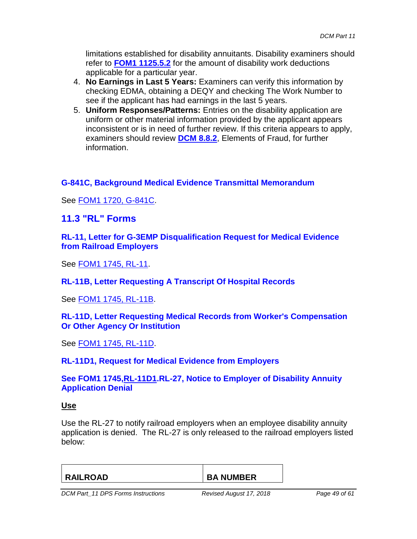limitations established for disability annuitants. Disability examiners should refer to **[FOM1 1125.5.2](http://rrbsharepoint/sites/Pub/FOM/Art11/Documents/FOM1_1125.pdf#search=FOM1_1125.5.2)** for the amount of disability work deductions applicable for a particular year.

- 4. **No Earnings in Last 5 Years:** Examiners can verify this information by checking EDMA, obtaining a DEQY and checking The Work Number to see if the applicant has had earnings in the last 5 years.
- 5. **Uniform Responses/Patterns:** Entries on the disability application are uniform or other material information provided by the applicant appears inconsistent or is in need of further review. If this criteria appears to apply, examiners should review **[DCM 8.8.2](http://rrbsharepoint/sites/Pub/DisMan/DCM/Documents/DCM_Part_8.pdf#search=DCM_Part_8.8.2)**, Elements of Fraud, for further information.

# **G-841C, Background Medical Evidence Transmittal Memorandum**

See FOM1 1720, G-841C.

## **11.3 "RL" Forms**

#### **RL-11, Letter for G-3EMP Disqualification Request for Medical Evidence from Railroad Employers**

See FOM1 1745, RL-11.

### **RL-11B, Letter Requesting A Transcript Of Hospital Records**

See FOM1 1745, RL-11B.

#### **RL-11D, Letter Requesting Medical Records from Worker's Compensation Or Other Agency Or Institution**

See FOM1 1745, RL-11D.

**RL-11D1, Request for Medical Evidence from Employers**

**See FOM1 1745,RL-11D1.RL-27, Notice to Employer of Disability Annuity Application Denial**

#### **Use**

Use the RL-27 to notify railroad employers when an employee disability annuity application is denied. The RL-27 is only released to the railroad employers listed below:

|  | <b>RAILROAD</b> | <b>BA NUMBER</b> |
|--|-----------------|------------------|
|--|-----------------|------------------|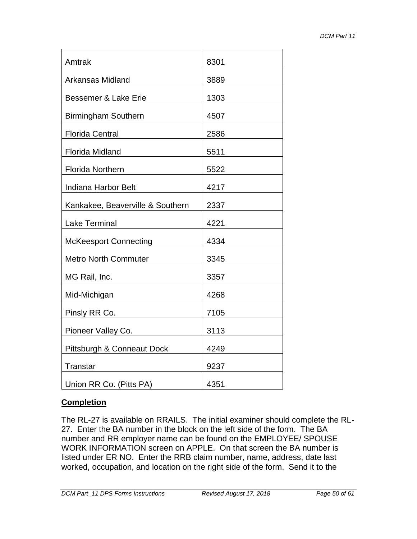| Amtrak                           | 8301 |
|----------------------------------|------|
| Arkansas Midland                 | 3889 |
| <b>Bessemer &amp; Lake Erie</b>  | 1303 |
| <b>Birmingham Southern</b>       | 4507 |
| <b>Florida Central</b>           | 2586 |
| <b>Florida Midland</b>           | 5511 |
| <b>Florida Northern</b>          | 5522 |
| Indiana Harbor Belt              | 4217 |
| Kankakee, Beaverville & Southern | 2337 |
| <b>Lake Terminal</b>             | 4221 |
| <b>McKeesport Connecting</b>     | 4334 |
| <b>Metro North Commuter</b>      | 3345 |
| MG Rail, Inc.                    | 3357 |
| Mid-Michigan                     | 4268 |
| Pinsly RR Co.                    | 7105 |
| Pioneer Valley Co.               | 3113 |
| Pittsburgh & Conneaut Dock       | 4249 |
| <b>Transtar</b>                  | 9237 |
| Union RR Co. (Pitts PA)          | 4351 |

### **Completion**

The RL-27 is available on RRAILS. The initial examiner should complete the RL-27. Enter the BA number in the block on the left side of the form. The BA number and RR employer name can be found on the EMPLOYEE/ SPOUSE WORK INFORMATION screen on APPLE. On that screen the BA number is listed under ER NO. Enter the RRB claim number, name, address, date last worked, occupation, and location on the right side of the form. Send it to the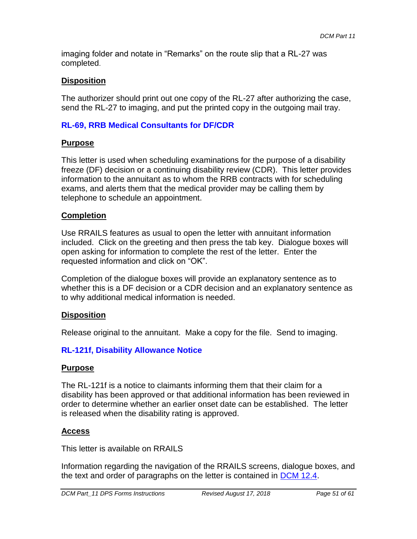imaging folder and notate in "Remarks" on the route slip that a RL-27 was completed.

### **Disposition**

The authorizer should print out one copy of the RL-27 after authorizing the case, send the RL-27 to imaging, and put the printed copy in the outgoing mail tray.

# **RL-69, RRB Medical Consultants for DF/CDR**

## **Purpose**

This letter is used when scheduling examinations for the purpose of a disability freeze (DF) decision or a continuing disability review (CDR). This letter provides information to the annuitant as to whom the RRB contracts with for scheduling exams, and alerts them that the medical provider may be calling them by telephone to schedule an appointment.

## **Completion**

Use RRAILS features as usual to open the letter with annuitant information included. Click on the greeting and then press the tab key. Dialogue boxes will open asking for information to complete the rest of the letter. Enter the requested information and click on "OK".

Completion of the dialogue boxes will provide an explanatory sentence as to whether this is a DF decision or a CDR decision and an explanatory sentence as to why additional medical information is needed.

# **Disposition**

Release original to the annuitant. Make a copy for the file. Send to imaging.

# **RL-121f, Disability Allowance Notice**

# **Purpose**

The RL-121f is a notice to claimants informing them that their claim for a disability has been approved or that additional information has been reviewed in order to determine whether an earlier onset date can be established. The letter is released when the disability rating is approved.

# **Access**

This letter is available on RRAILS

Information regarding the navigation of the RRAILS screens, dialogue boxes, and the text and order of paragraphs on the letter is contained in DCM 12.4.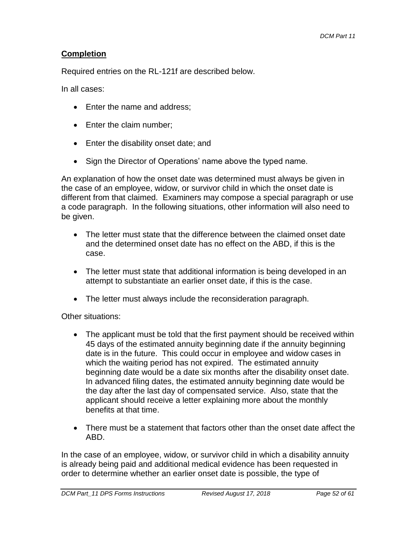### **Completion**

Required entries on the RL-121f are described below.

In all cases:

- Enter the name and address;
- Enter the claim number;
- Enter the disability onset date; and
- Sign the Director of Operations' name above the typed name.

An explanation of how the onset date was determined must always be given in the case of an employee, widow, or survivor child in which the onset date is different from that claimed. Examiners may compose a special paragraph or use a code paragraph. In the following situations, other information will also need to be given.

- The letter must state that the difference between the claimed onset date and the determined onset date has no effect on the ABD, if this is the case.
- The letter must state that additional information is being developed in an attempt to substantiate an earlier onset date, if this is the case.
- The letter must always include the reconsideration paragraph.

Other situations:

- The applicant must be told that the first payment should be received within 45 days of the estimated annuity beginning date if the annuity beginning date is in the future. This could occur in employee and widow cases in which the waiting period has not expired. The estimated annuity beginning date would be a date six months after the disability onset date. In advanced filing dates, the estimated annuity beginning date would be the day after the last day of compensated service. Also, state that the applicant should receive a letter explaining more about the monthly benefits at that time.
- There must be a statement that factors other than the onset date affect the ABD.

In the case of an employee, widow, or survivor child in which a disability annuity is already being paid and additional medical evidence has been requested in order to determine whether an earlier onset date is possible, the type of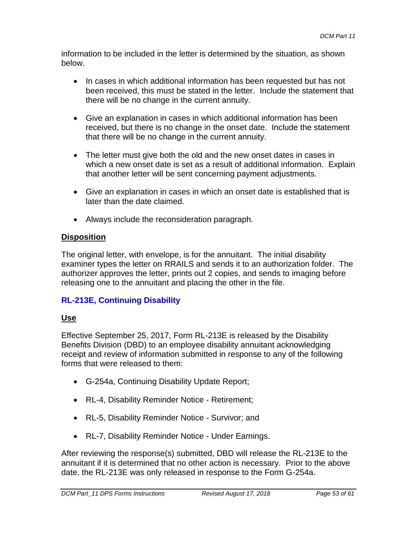information to be included in the letter is determined by the situation, as shown below.

- In cases in which additional information has been requested but has not been received, this must be stated in the letter. Include the statement that there will be no change in the current annuity.
- Give an explanation in cases in which additional information has been received, but there is no change in the onset date. Include the statement that there will be no change in the current annuity.
- The letter must give both the old and the new onset dates in cases in which a new onset date is set as a result of additional information. Explain that another letter will be sent concerning payment adjustments.
- Give an explanation in cases in which an onset date is established that is later than the date claimed.
- Always include the reconsideration paragraph.

### **Disposition**

The original letter, with envelope, is for the annuitant. The initial disability examiner types the letter on RRAILS and sends it to an authorization folder. The authorizer approves the letter, prints out 2 copies, and sends to imaging before releasing one to the annuitant and placing the other in the file.

# **RL-213E, Continuing Disability**

# **Use**

Effective September 25, 2017, Form RL-213E is released by the Disability Benefits Division (DBD) to an employee disability annuitant acknowledging receipt and review of information submitted in response to any of the following forms that were released to them:

- G-254a, Continuing Disability Update Report;
- RL-4, Disability Reminder Notice Retirement;
- RL-5, Disability Reminder Notice Survivor; and
- RL-7, Disability Reminder Notice Under Earnings.

After reviewing the response(s) submitted, DBD will release the RL-213E to the annuitant if it is determined that no other action is necessary. Prior to the above date, the RL-213E was only released in response to the Form G-254a.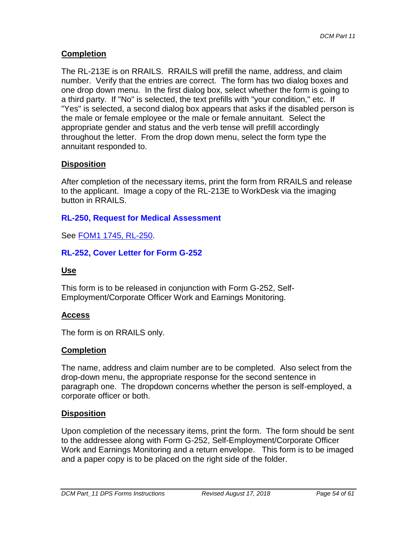### **Completion**

The RL-213E is on RRAILS. RRAILS will prefill the name, address, and claim number. Verify that the entries are correct. The form has two dialog boxes and one drop down menu. In the first dialog box, select whether the form is going to a third party. If "No" is selected, the text prefills with "your condition," etc. If "Yes" is selected, a second dialog box appears that asks if the disabled person is the male or female employee or the male or female annuitant. Select the appropriate gender and status and the verb tense will prefill accordingly throughout the letter. From the drop down menu, select the form type the annuitant responded to.

#### **Disposition**

After completion of the necessary items, print the form from RRAILS and release to the applicant. Image a copy of the RL-213E to WorkDesk via the imaging button in RRAILS.

#### **RL-250, Request for Medical Assessment**

See FOM1 1745, RL-250.

### **RL-252, Cover Letter for Form G-252**

#### **Use**

This form is to be released in conjunction with Form G-252, Self-Employment/Corporate Officer Work and Earnings Monitoring.

#### **Access**

The form is on RRAILS only.

### **Completion**

The name, address and claim number are to be completed. Also select from the drop-down menu, the appropriate response for the second sentence in paragraph one. The dropdown concerns whether the person is self-employed, a corporate officer or both.

#### **Disposition**

Upon completion of the necessary items, print the form. The form should be sent to the addressee along with Form G-252, Self-Employment/Corporate Officer Work and Earnings Monitoring and a return envelope. This form is to be imaged and a paper copy is to be placed on the right side of the folder.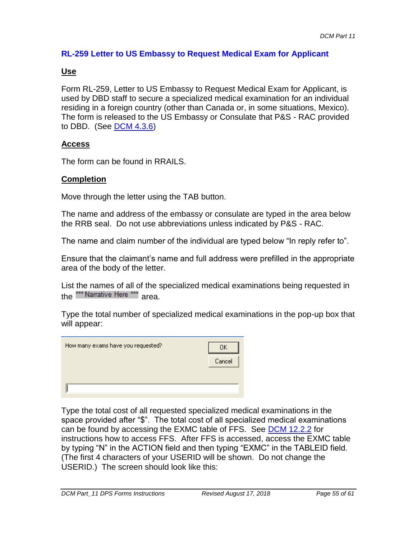### **RL-259 Letter to US Embassy to Request Medical Exam for Applicant**

#### **Use**

Form RL-259, Letter to US Embassy to Request Medical Exam for Applicant, is used by DBD staff to secure a specialized medical examination for an individual residing in a foreign country (other than Canada or, in some situations, Mexico). The form is released to the US Embassy or Consulate that P&S - RAC provided to DBD. (See  $DCM$  4.3.6)

#### **Access**

The form can be found in RRAILS.

### **Completion**

Move through the letter using the TAB button.

The name and address of the embassy or consulate are typed in the area below the RRB seal. Do not use abbreviations unless indicated by P&S - RAC.

The name and claim number of the individual are typed below "In reply refer to".

Ensure that the claimant's name and full address were prefilled in the appropriate area of the body of the letter.

List the names of all of the specialized medical examinations being requested in the \*\*\* Narrative Here \*\*\* area.

Type the total number of specialized medical examinations in the pop-up box that will appear:

| How many exams have you requested? | 0K     |
|------------------------------------|--------|
|                                    | Cancel |
|                                    |        |
|                                    |        |

Type the total cost of all requested specialized medical examinations in the space provided after "\$". The total cost of all specialized medical examinations can be found by accessing the EXMC table of FFS. See DCM 12.2.2 for instructions how to access FFS. After FFS is accessed, access the EXMC table by typing "N" in the ACTION field and then typing "EXMC" in the TABLEID field. (The first 4 characters of your USERID will be shown. Do not change the USERID.) The screen should look like this: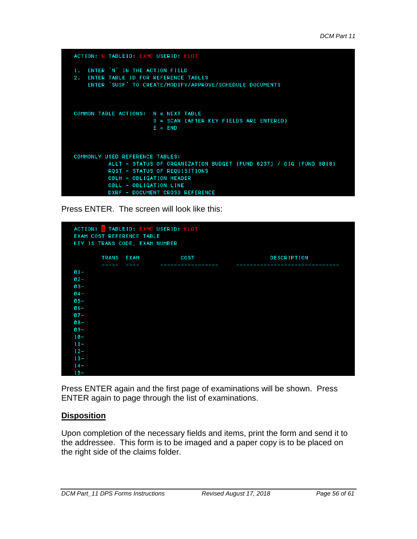```
ACTION: N TABLEID: EXMC USERID: KLOT
1. ENTER 'N' IN THE ACTION FIELD
2. ENTER TABLE ID FOR REFERENCE TABLES
   ENTER 'SUSF' TO CREATE/MODIFY/APPROVE/SCHEDULE DOCUMENTS
COMMON TABLE ACTIONS: N = NEXT TABLE
               S = SCAN (AFTER KEY FIELDS ARE ENTERED)
                    E = ENDCOMMONLY USED REFERENCE TABLES:
        ALLT - STATUS OF ORGANIZATION BUDGET (FUND 8237) / OIG (FUND 8018)
        RQST - STATUS OF REQUISITIONS
        OBLH - OBLIGATION HEADER
         OBLL - OBLIGATION LINE
         DXRF - DOCUMENT CROSS REFERENCE
```
Press ENTER. The screen will look like this:

|        | TABLEID: EXMC USERID: KLOT<br>ACTION: S<br>EXAM COST REFERENCE TABLE<br>KEY IS TRANS CODE, EXAM NUMBER |      |                        |  |                                     |  |
|--------|--------------------------------------------------------------------------------------------------------|------|------------------------|--|-------------------------------------|--|
|        | TRANS EXAM                                                                                             | ---- | COST<br>-------------- |  | <b>DESCRIPTION</b><br>------------- |  |
| $01 -$ |                                                                                                        |      |                        |  |                                     |  |
| $02 -$ |                                                                                                        |      |                        |  |                                     |  |
| $03 -$ |                                                                                                        |      |                        |  |                                     |  |
| $04 -$ |                                                                                                        |      |                        |  |                                     |  |
| $05 -$ |                                                                                                        |      |                        |  |                                     |  |
| $06 -$ |                                                                                                        |      |                        |  |                                     |  |
| $07 -$ |                                                                                                        |      |                        |  |                                     |  |
| $08 -$ |                                                                                                        |      |                        |  |                                     |  |
| $09 -$ |                                                                                                        |      |                        |  |                                     |  |
| $10 -$ |                                                                                                        |      |                        |  |                                     |  |
| $11 -$ |                                                                                                        |      |                        |  |                                     |  |
| $12 -$ |                                                                                                        |      |                        |  |                                     |  |
| $13 -$ |                                                                                                        |      |                        |  |                                     |  |
| $14 -$ |                                                                                                        |      |                        |  |                                     |  |
| $15 -$ |                                                                                                        |      |                        |  |                                     |  |

Press ENTER again and the first page of examinations will be shown. Press ENTER again to page through the list of examinations.

### **Disposition**

Upon completion of the necessary fields and items, print the form and send it to the addressee. This form is to be imaged and a paper copy is to be placed on the right side of the claims folder.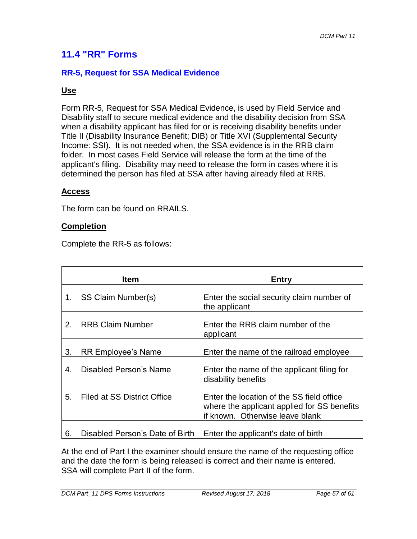# **11.4 "RR" Forms**

### **RR-5, Request for SSA Medical Evidence**

#### **Use**

Form RR-5, Request for SSA Medical Evidence, is used by Field Service and Disability staff to secure medical evidence and the disability decision from SSA when a disability applicant has filed for or is receiving disability benefits under Title II (Disability Insurance Benefit; DIB) or Title XVI (Supplemental Security Income: SSI). It is not needed when, the SSA evidence is in the RRB claim folder. In most cases Field Service will release the form at the time of the applicant's filing. Disability may need to release the form in cases where it is determined the person has filed at SSA after having already filed at RRB.

#### **Access**

The form can be found on RRAILS.

#### **Completion**

Complete the RR-5 as follows:

|    | Item                            | Entry                                                                                                                       |
|----|---------------------------------|-----------------------------------------------------------------------------------------------------------------------------|
| 1. | SS Claim Number(s)              | Enter the social security claim number of<br>the applicant                                                                  |
| 2. | <b>RRB Claim Number</b>         | Enter the RRB claim number of the<br>applicant                                                                              |
| 3. | <b>RR Employee's Name</b>       | Enter the name of the railroad employee                                                                                     |
| 4. | Disabled Person's Name          | Enter the name of the applicant filing for<br>disability benefits                                                           |
| 5. | Filed at SS District Office     | Enter the location of the SS field office<br>where the applicant applied for SS benefits<br>if known. Otherwise leave blank |
| 6. | Disabled Person's Date of Birth | Enter the applicant's date of birth                                                                                         |

At the end of Part I the examiner should ensure the name of the requesting office and the date the form is being released is correct and their name is entered. SSA will complete Part II of the form.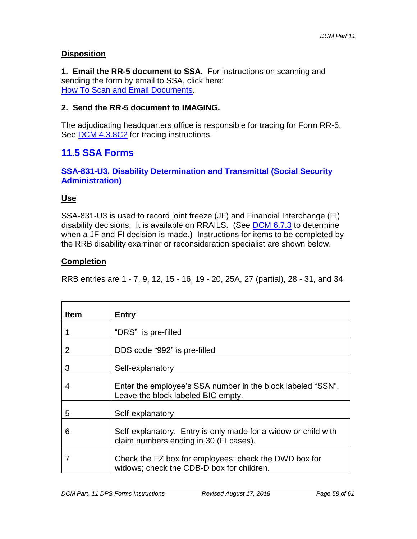### **Disposition**

**1. Email the RR-5 document to SSA.** For instructions on scanning and sending the form by email to SSA, click here: How To Scan and Email Documents.

#### **2. Send the RR-5 document to IMAGING.**

The adjudicating headquarters office is responsible for tracing for Form RR-5. See **DCM 4.3.8C2** for tracing instructions.

# **11.5 SSA Forms**

#### **SSA-831-U3, Disability Determination and Transmittal (Social Security Administration)**

#### **Use**

SSA-831-U3 is used to record joint freeze (JF) and Financial Interchange (FI) disability decisions. It is available on RRAILS. (See DCM 6.7.3 to determine when a JF and FI decision is made.) Instructions for items to be completed by the RRB disability examiner or reconsideration specialist are shown below.

#### **Completion**

RRB entries are 1 - 7, 9, 12, 15 - 16, 19 - 20, 25A, 27 (partial), 28 - 31, and 34

| <b>Item</b> | <b>Entry</b>                                                                                             |
|-------------|----------------------------------------------------------------------------------------------------------|
|             | "DRS" is pre-filled                                                                                      |
| 2           | DDS code "992" is pre-filled                                                                             |
| 3           | Self-explanatory                                                                                         |
| 4           | Enter the employee's SSA number in the block labeled "SSN".<br>Leave the block labeled BIC empty.        |
| 5           | Self-explanatory                                                                                         |
| 6           | Self-explanatory. Entry is only made for a widow or child with<br>claim numbers ending in 30 (FI cases). |
|             | Check the FZ box for employees; check the DWD box for<br>widows; check the CDB-D box for children.       |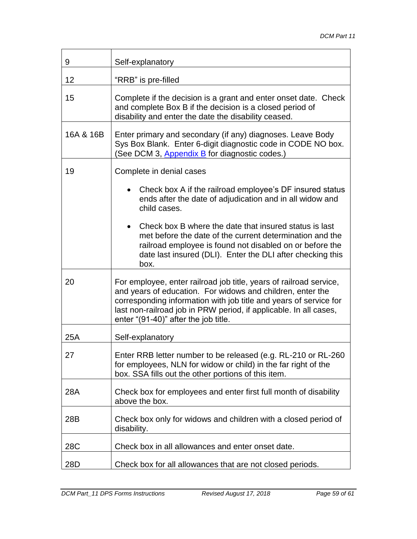| 9         | Self-explanatory                                                                                                                                                                                                                                                                                                   |
|-----------|--------------------------------------------------------------------------------------------------------------------------------------------------------------------------------------------------------------------------------------------------------------------------------------------------------------------|
| 12        | "RRB" is pre-filled                                                                                                                                                                                                                                                                                                |
| 15        | Complete if the decision is a grant and enter onset date. Check<br>and complete Box B if the decision is a closed period of<br>disability and enter the date the disability ceased.                                                                                                                                |
| 16A & 16B | Enter primary and secondary (if any) diagnoses. Leave Body<br>Sys Box Blank. Enter 6-digit diagnostic code in CODE NO box.<br>(See DCM 3, Appendix B for diagnostic codes.)                                                                                                                                        |
| 19        | Complete in denial cases                                                                                                                                                                                                                                                                                           |
|           | Check box A if the railroad employee's DF insured status<br>$\bullet$<br>ends after the date of adjudication and in all widow and<br>child cases.                                                                                                                                                                  |
|           | Check box B where the date that insured status is last<br>$\bullet$<br>met before the date of the current determination and the<br>railroad employee is found not disabled on or before the<br>date last insured (DLI). Enter the DLI after checking this<br>box.                                                  |
| 20        | For employee, enter railroad job title, years of railroad service,<br>and years of education. For widows and children, enter the<br>corresponding information with job title and years of service for<br>last non-railroad job in PRW period, if applicable. In all cases,<br>enter "(91-40)" after the job title. |
| 25A       | Self-explanatory                                                                                                                                                                                                                                                                                                   |
| 27        | Enter RRB letter number to be released (e.g. RL-210 or RL-260<br>for employees, NLN for widow or child) in the far right of the<br>box. SSA fills out the other portions of this item.                                                                                                                             |
| 28A       | Check box for employees and enter first full month of disability<br>above the box.                                                                                                                                                                                                                                 |
| 28B       | Check box only for widows and children with a closed period of<br>disability.                                                                                                                                                                                                                                      |
| 28C       | Check box in all allowances and enter onset date.                                                                                                                                                                                                                                                                  |
| 28D       | Check box for all allowances that are not closed periods.                                                                                                                                                                                                                                                          |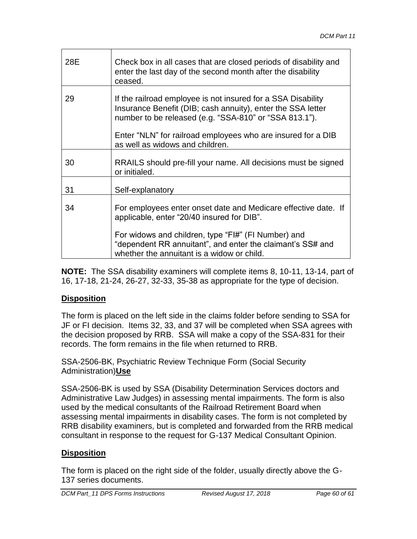| 28E | Check box in all cases that are closed periods of disability and<br>enter the last day of the second month after the disability<br>ceased.                                            |
|-----|---------------------------------------------------------------------------------------------------------------------------------------------------------------------------------------|
| 29  | If the railroad employee is not insured for a SSA Disability<br>Insurance Benefit (DIB; cash annuity), enter the SSA letter<br>number to be released (e.g. "SSA-810" or "SSA 813.1"). |
|     | Enter "NLN" for railroad employees who are insured for a DIB<br>as well as widows and children.                                                                                       |
| 30  | RRAILS should pre-fill your name. All decisions must be signed<br>or initialed.                                                                                                       |
| 31  | Self-explanatory                                                                                                                                                                      |
| 34  | For employees enter onset date and Medicare effective date. If<br>applicable, enter "20/40 insured for DIB".                                                                          |
|     | For widows and children, type "FI#" (FI Number) and<br>"dependent RR annuitant", and enter the claimant's SS# and<br>whether the annuitant is a widow or child.                       |

**NOTE:** The SSA disability examiners will complete items 8, 10-11, 13-14, part of 16, 17-18, 21-24, 26-27, 32-33, 35-38 as appropriate for the type of decision.

# **Disposition**

The form is placed on the left side in the claims folder before sending to SSA for JF or FI decision. Items 32, 33, and 37 will be completed when SSA agrees with the decision proposed by RRB. SSA will make a copy of the SSA-831 for their records. The form remains in the file when returned to RRB.

SSA-2506-BK, Psychiatric Review Technique Form (Social Security Administration)**Use** 

SSA-2506-BK is used by SSA (Disability Determination Services doctors and Administrative Law Judges) in assessing mental impairments. The form is also used by the medical consultants of the Railroad Retirement Board when assessing mental impairments in disability cases. The form is not completed by RRB disability examiners, but is completed and forwarded from the RRB medical consultant in response to the request for G-137 Medical Consultant Opinion.

# **Disposition**

The form is placed on the right side of the folder, usually directly above the G-137 series documents.